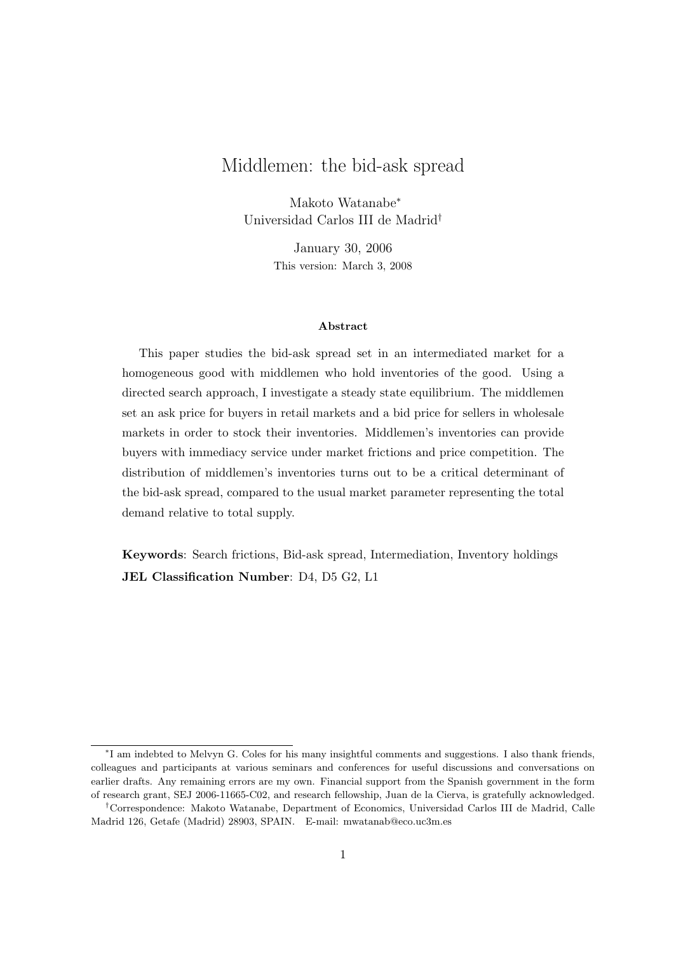# Middlemen: the bid-ask spread

Makoto Watanabe<sup>∗</sup> Universidad Carlos III de Madrid†

> January 30, 2006 This version: March 3, 2008

#### Abstract

This paper studies the bid-ask spread set in an intermediated market for a homogeneous good with middlemen who hold inventories of the good. Using a directed search approach, I investigate a steady state equilibrium. The middlemen set an ask price for buyers in retail markets and a bid price for sellers in wholesale markets in order to stock their inventories. Middlemen's inventories can provide buyers with immediacy service under market frictions and price competition. The distribution of middlemen's inventories turns out to be a critical determinant of the bid-ask spread, compared to the usual market parameter representing the total demand relative to total supply.

Keywords: Search frictions, Bid-ask spread, Intermediation, Inventory holdings JEL Classification Number: D4, D5 G2, L1

<sup>∗</sup> I am indebted to Melvyn G. Coles for his many insightful comments and suggestions. I also thank friends, colleagues and participants at various seminars and conferences for useful discussions and conversations on earlier drafts. Any remaining errors are my own. Financial support from the Spanish government in the form of research grant, SEJ 2006-11665-C02, and research fellowship, Juan de la Cierva, is gratefully acknowledged.

<sup>†</sup>Correspondence: Makoto Watanabe, Department of Economics, Universidad Carlos III de Madrid, Calle Madrid 126, Getafe (Madrid) 28903, SPAIN. E-mail: mwatanab@eco.uc3m.es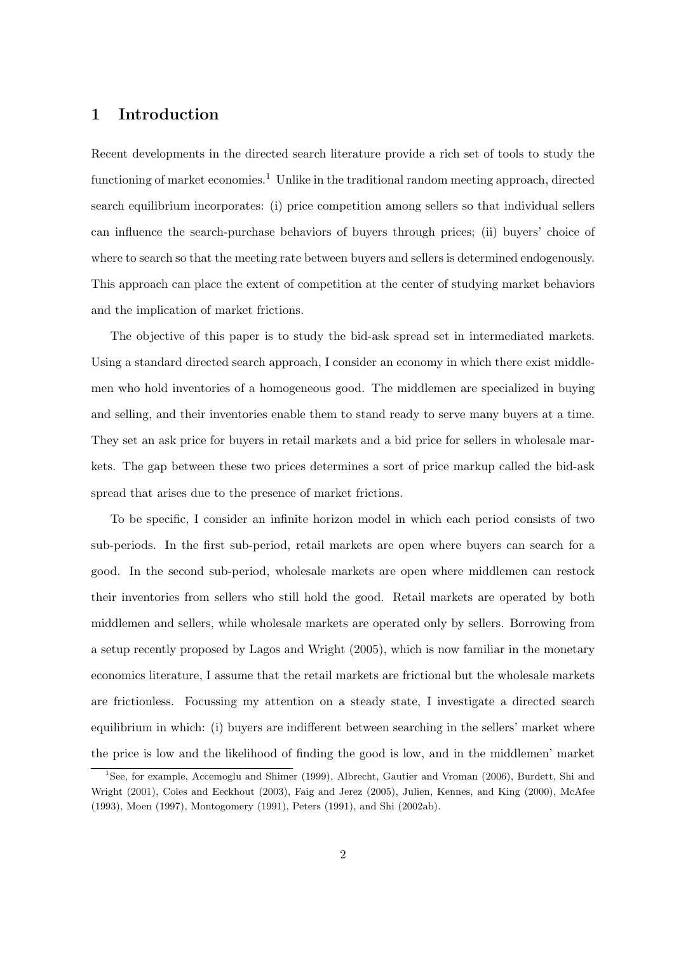## 1 Introduction

Recent developments in the directed search literature provide a rich set of tools to study the functioning of market economies.<sup>1</sup> Unlike in the traditional random meeting approach, directed search equilibrium incorporates: (i) price competition among sellers so that individual sellers can influence the search-purchase behaviors of buyers through prices; (ii) buyers' choice of where to search so that the meeting rate between buyers and sellers is determined endogenously. This approach can place the extent of competition at the center of studying market behaviors and the implication of market frictions.

The objective of this paper is to study the bid-ask spread set in intermediated markets. Using a standard directed search approach, I consider an economy in which there exist middlemen who hold inventories of a homogeneous good. The middlemen are specialized in buying and selling, and their inventories enable them to stand ready to serve many buyers at a time. They set an ask price for buyers in retail markets and a bid price for sellers in wholesale markets. The gap between these two prices determines a sort of price markup called the bid-ask spread that arises due to the presence of market frictions.

To be specific, I consider an infinite horizon model in which each period consists of two sub-periods. In the first sub-period, retail markets are open where buyers can search for a good. In the second sub-period, wholesale markets are open where middlemen can restock their inventories from sellers who still hold the good. Retail markets are operated by both middlemen and sellers, while wholesale markets are operated only by sellers. Borrowing from a setup recently proposed by Lagos and Wright (2005), which is now familiar in the monetary economics literature, I assume that the retail markets are frictional but the wholesale markets are frictionless. Focussing my attention on a steady state, I investigate a directed search equilibrium in which: (i) buyers are indifferent between searching in the sellers' market where the price is low and the likelihood of finding the good is low, and in the middlemen' market

<sup>1</sup>See, for example, Accemoglu and Shimer (1999), Albrecht, Gautier and Vroman (2006), Burdett, Shi and Wright (2001), Coles and Eeckhout (2003), Faig and Jerez (2005), Julien, Kennes, and King (2000), McAfee (1993), Moen (1997), Montogomery (1991), Peters (1991), and Shi (2002ab).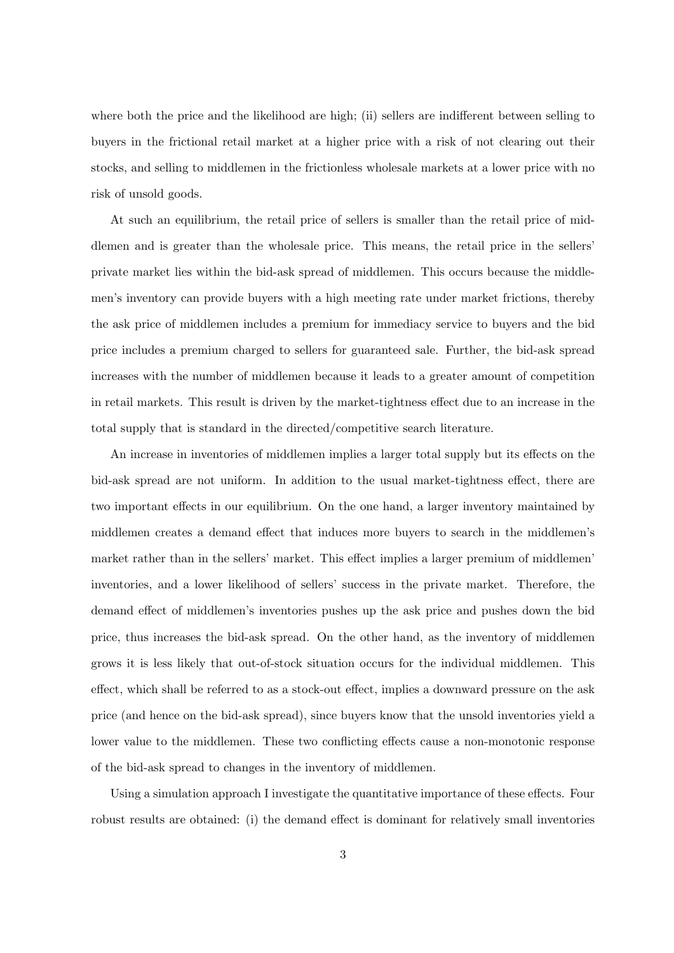where both the price and the likelihood are high; (ii) sellers are indifferent between selling to buyers in the frictional retail market at a higher price with a risk of not clearing out their stocks, and selling to middlemen in the frictionless wholesale markets at a lower price with no risk of unsold goods.

At such an equilibrium, the retail price of sellers is smaller than the retail price of middlemen and is greater than the wholesale price. This means, the retail price in the sellers' private market lies within the bid-ask spread of middlemen. This occurs because the middlemen's inventory can provide buyers with a high meeting rate under market frictions, thereby the ask price of middlemen includes a premium for immediacy service to buyers and the bid price includes a premium charged to sellers for guaranteed sale. Further, the bid-ask spread increases with the number of middlemen because it leads to a greater amount of competition in retail markets. This result is driven by the market-tightness effect due to an increase in the total supply that is standard in the directed/competitive search literature.

An increase in inventories of middlemen implies a larger total supply but its effects on the bid-ask spread are not uniform. In addition to the usual market-tightness effect, there are two important effects in our equilibrium. On the one hand, a larger inventory maintained by middlemen creates a demand effect that induces more buyers to search in the middlemen's market rather than in the sellers' market. This effect implies a larger premium of middlemen' inventories, and a lower likelihood of sellers' success in the private market. Therefore, the demand effect of middlemen's inventories pushes up the ask price and pushes down the bid price, thus increases the bid-ask spread. On the other hand, as the inventory of middlemen grows it is less likely that out-of-stock situation occurs for the individual middlemen. This effect, which shall be referred to as a stock-out effect, implies a downward pressure on the ask price (and hence on the bid-ask spread), since buyers know that the unsold inventories yield a lower value to the middlemen. These two conflicting effects cause a non-monotonic response of the bid-ask spread to changes in the inventory of middlemen.

Using a simulation approach I investigate the quantitative importance of these effects. Four robust results are obtained: (i) the demand effect is dominant for relatively small inventories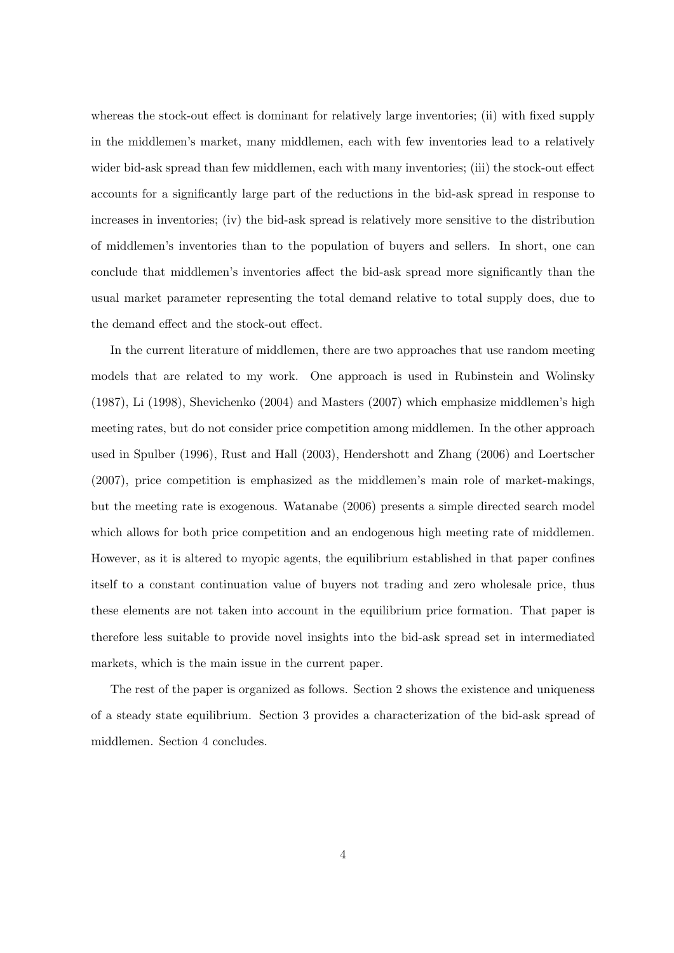whereas the stock-out effect is dominant for relatively large inventories; (ii) with fixed supply in the middlemen's market, many middlemen, each with few inventories lead to a relatively wider bid-ask spread than few middlemen, each with many inventories; (iii) the stock-out effect accounts for a significantly large part of the reductions in the bid-ask spread in response to increases in inventories; (iv) the bid-ask spread is relatively more sensitive to the distribution of middlemen's inventories than to the population of buyers and sellers. In short, one can conclude that middlemen's inventories affect the bid-ask spread more significantly than the usual market parameter representing the total demand relative to total supply does, due to the demand effect and the stock-out effect.

In the current literature of middlemen, there are two approaches that use random meeting models that are related to my work. One approach is used in Rubinstein and Wolinsky (1987), Li (1998), Shevichenko (2004) and Masters (2007) which emphasize middlemen's high meeting rates, but do not consider price competition among middlemen. In the other approach used in Spulber (1996), Rust and Hall (2003), Hendershott and Zhang (2006) and Loertscher (2007), price competition is emphasized as the middlemen's main role of market-makings, but the meeting rate is exogenous. Watanabe (2006) presents a simple directed search model which allows for both price competition and an endogenous high meeting rate of middlemen. However, as it is altered to myopic agents, the equilibrium established in that paper confines itself to a constant continuation value of buyers not trading and zero wholesale price, thus these elements are not taken into account in the equilibrium price formation. That paper is therefore less suitable to provide novel insights into the bid-ask spread set in intermediated markets, which is the main issue in the current paper.

The rest of the paper is organized as follows. Section 2 shows the existence and uniqueness of a steady state equilibrium. Section 3 provides a characterization of the bid-ask spread of middlemen. Section 4 concludes.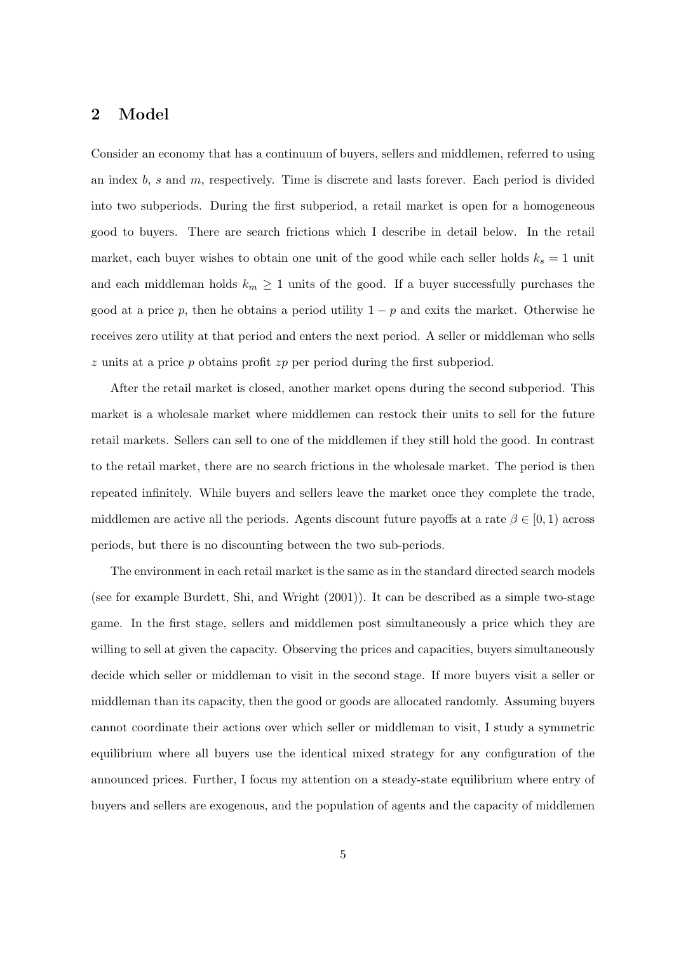## 2 Model

Consider an economy that has a continuum of buyers, sellers and middlemen, referred to using an index  $b$ , s and  $m$ , respectively. Time is discrete and lasts forever. Each period is divided into two subperiods. During the first subperiod, a retail market is open for a homogeneous good to buyers. There are search frictions which I describe in detail below. In the retail market, each buyer wishes to obtain one unit of the good while each seller holds  $k_s = 1$  unit and each middleman holds  $k_m \geq 1$  units of the good. If a buyer successfully purchases the good at a price p, then he obtains a period utility  $1 - p$  and exits the market. Otherwise he receives zero utility at that period and enters the next period. A seller or middleman who sells  $z$  units at a price  $p$  obtains profit  $zp$  per period during the first subperiod.

After the retail market is closed, another market opens during the second subperiod. This market is a wholesale market where middlemen can restock their units to sell for the future retail markets. Sellers can sell to one of the middlemen if they still hold the good. In contrast to the retail market, there are no search frictions in the wholesale market. The period is then repeated infinitely. While buyers and sellers leave the market once they complete the trade, middlemen are active all the periods. Agents discount future payoffs at a rate  $\beta \in [0,1)$  across periods, but there is no discounting between the two sub-periods.

The environment in each retail market is the same as in the standard directed search models (see for example Burdett, Shi, and Wright (2001)). It can be described as a simple two-stage game. In the first stage, sellers and middlemen post simultaneously a price which they are willing to sell at given the capacity. Observing the prices and capacities, buyers simultaneously decide which seller or middleman to visit in the second stage. If more buyers visit a seller or middleman than its capacity, then the good or goods are allocated randomly. Assuming buyers cannot coordinate their actions over which seller or middleman to visit, I study a symmetric equilibrium where all buyers use the identical mixed strategy for any configuration of the announced prices. Further, I focus my attention on a steady-state equilibrium where entry of buyers and sellers are exogenous, and the population of agents and the capacity of middlemen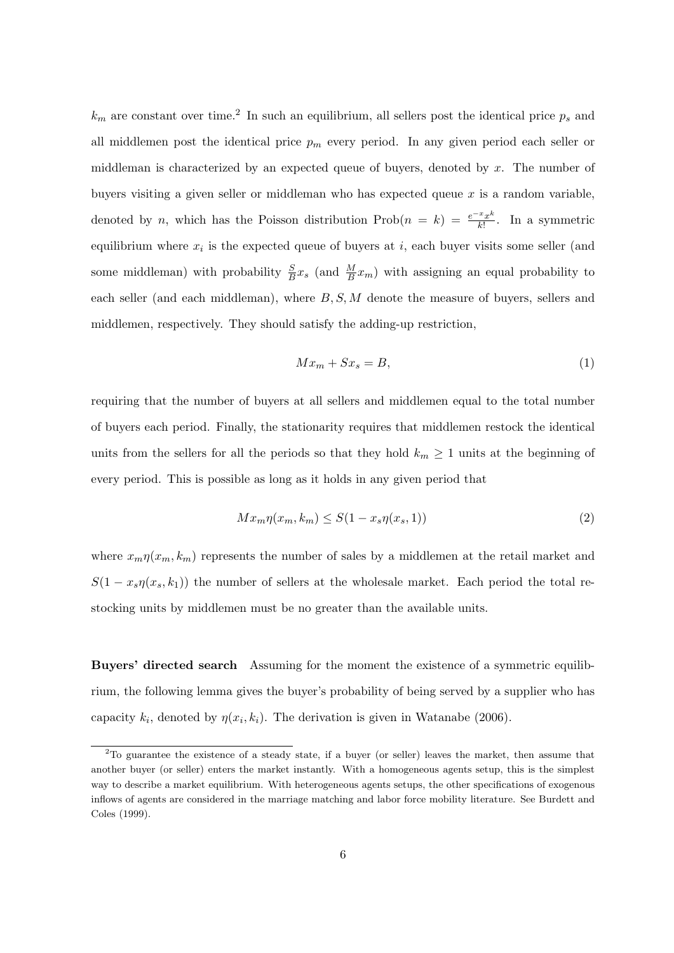$k_m$  are constant over time.<sup>2</sup> In such an equilibrium, all sellers post the identical price  $p_s$  and all middlemen post the identical price  $p_m$  every period. In any given period each seller or middleman is characterized by an expected queue of buyers, denoted by  $x$ . The number of buyers visiting a given seller or middleman who has expected queue  $x$  is a random variable, denoted by n, which has the Poisson distribution  $\text{Prob}(n = k) = \frac{e^{-x}x^k}{k!}$  $\frac{f^{x}x^{\kappa}}{k!}$ . In a symmetric equilibrium where  $x_i$  is the expected queue of buyers at i, each buyer visits some seller (and some middleman) with probability  $\frac{S}{B}x_s$  (and  $\frac{M}{B}x_m$ ) with assigning an equal probability to each seller (and each middleman), where  $B, S, M$  denote the measure of buyers, sellers and middlemen, respectively. They should satisfy the adding-up restriction,

$$
Mx_m + Sx_s = B,\t\t(1)
$$

requiring that the number of buyers at all sellers and middlemen equal to the total number of buyers each period. Finally, the stationarity requires that middlemen restock the identical units from the sellers for all the periods so that they hold  $k_m \geq 1$  units at the beginning of every period. This is possible as long as it holds in any given period that

$$
Mx_m\eta(x_m, k_m) \le S(1 - x_s\eta(x_s, 1))\tag{2}
$$

where  $x_m \eta(x_m, k_m)$  represents the number of sales by a middlemen at the retail market and  $S(1-x_s\eta(x_s,k_1))$  the number of sellers at the wholesale market. Each period the total restocking units by middlemen must be no greater than the available units.

Buyers' directed search Assuming for the moment the existence of a symmetric equilibrium, the following lemma gives the buyer's probability of being served by a supplier who has capacity  $k_i$ , denoted by  $\eta(x_i, k_i)$ . The derivation is given in Watanabe (2006).

<sup>2</sup>To guarantee the existence of a steady state, if a buyer (or seller) leaves the market, then assume that another buyer (or seller) enters the market instantly. With a homogeneous agents setup, this is the simplest way to describe a market equilibrium. With heterogeneous agents setups, the other specifications of exogenous inflows of agents are considered in the marriage matching and labor force mobility literature. See Burdett and Coles (1999).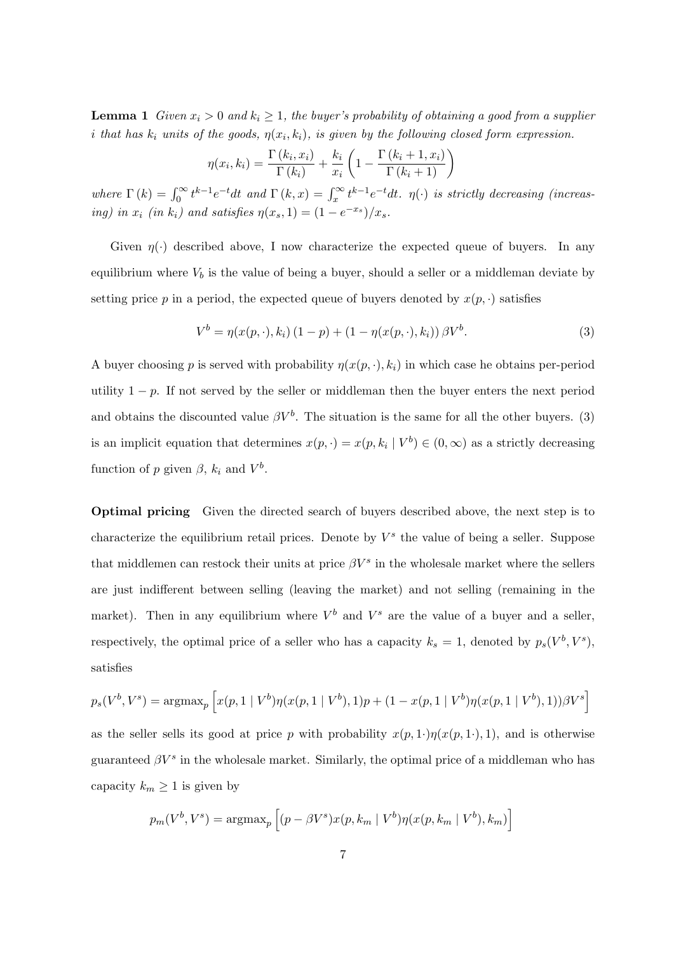**Lemma 1** Given  $x_i > 0$  and  $k_i \geq 1$ , the buyer's probability of obtaining a good from a supplier i that has  $k_i$  units of the goods,  $\eta(x_i, k_i)$ , is given by the following closed form expression.

$$
\eta(x_i, k_i) = \frac{\Gamma(k_i, x_i)}{\Gamma(k_i)} + \frac{k_i}{x_i} \left( 1 - \frac{\Gamma(k_i + 1, x_i)}{\Gamma(k_i + 1)} \right)
$$

where  $\Gamma(k) = \int_0^\infty t^{k-1} e^{-t} dt$  and  $\Gamma(k, x) = \int_x^\infty t^{k-1} e^{-t} dt$ .  $\eta(\cdot)$  is strictly decreasing (increasing) in  $x_i$  (in  $k_i$ ) and satisfies  $\eta(x_s, 1) = (1 - e^{-x_s})/x_s$ .

Given  $\eta(\cdot)$  described above, I now characterize the expected queue of buyers. In any equilibrium where  $V_b$  is the value of being a buyer, should a seller or a middleman deviate by setting price p in a period, the expected queue of buyers denoted by  $x(p, \cdot)$  satisfies

$$
V^{b} = \eta(x(p, \cdot), k_{i}) (1 - p) + (1 - \eta(x(p, \cdot), k_{i})) \beta V^{b}.
$$
 (3)

A buyer choosing p is served with probability  $\eta(x(p, \cdot), k_i)$  in which case he obtains per-period utility  $1 - p$ . If not served by the seller or middleman then the buyer enters the next period and obtains the discounted value  $\beta V^b$ . The situation is the same for all the other buyers. (3) is an implicit equation that determines  $x(p, \cdot) = x(p, k_i \mid V^b) \in (0, \infty)$  as a strictly decreasing function of p given  $\beta$ ,  $k_i$  and  $V^b$ .

Optimal pricing Given the directed search of buyers described above, the next step is to characterize the equilibrium retail prices. Denote by  $V^s$  the value of being a seller. Suppose that middlemen can restock their units at price  $\beta V^s$  in the wholesale market where the sellers are just indifferent between selling (leaving the market) and not selling (remaining in the market). Then in any equilibrium where  $V^b$  and  $V^s$  are the value of a buyer and a seller, respectively, the optimal price of a seller who has a capacity  $k_s = 1$ , denoted by  $p_s(V^b, V^s)$ , satisfies

$$
p_s(V^b, V^s) = \operatorname{argmax}_p \left[ x(p, 1 \mid V^b) \eta(x(p, 1 \mid V^b), 1) p + (1 - x(p, 1 \mid V^b) \eta(x(p, 1 \mid V^b), 1)) \beta V^s \right]
$$

as the seller sells its good at price p with probability  $x(p, 1) \eta(x(p, 1))$ , and is otherwise guaranteed  $\beta V^s$  in the wholesale market. Similarly, the optimal price of a middleman who has capacity  $k_m \geq 1$  is given by

$$
p_m(V^b, V^s) = \operatorname{argmax}_p \left[ (p - \beta V^s) x(p, k_m \mid V^b) \eta(x(p, k_m \mid V^b), k_m) \right]
$$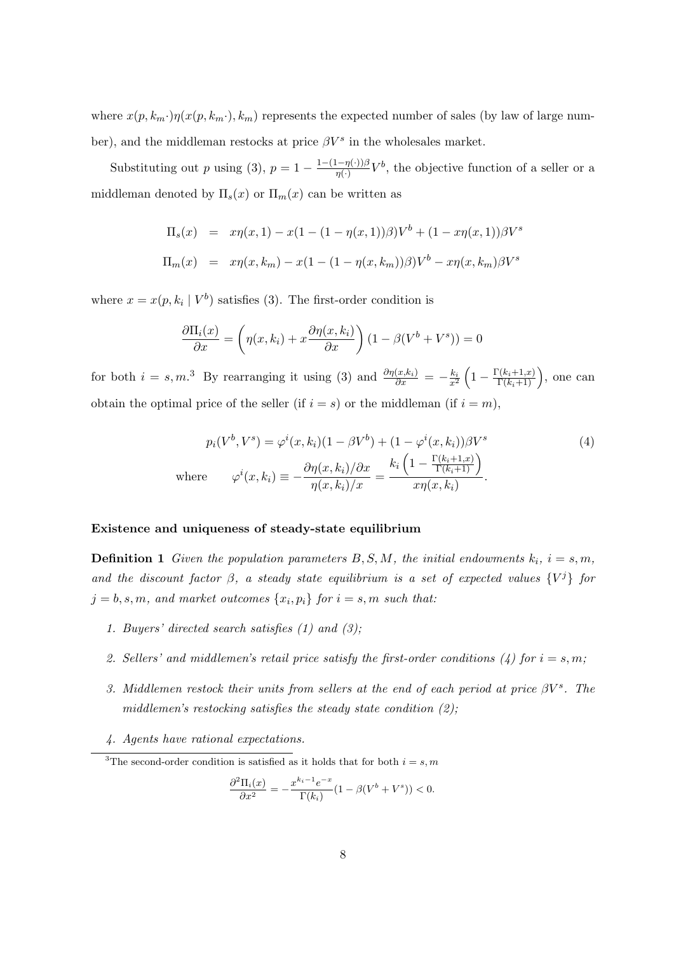where  $x(p, k_m \cdot) \eta(x(p, k_m \cdot), k_m)$  represents the expected number of sales (by law of large number), and the middleman restocks at price  $\beta V^s$  in the wholesales market.

Substituting out p using (3),  $p = 1 - \frac{1-(1-\eta(\cdot))\beta}{n(\cdot)}$  $\frac{(-\eta(\cdot))\beta}{\eta(\cdot)}V^b$ , the objective function of a seller or a middleman denoted by  $\Pi_s(x)$  or  $\Pi_m(x)$  can be written as

$$
\Pi_s(x) = x\eta(x, 1) - x(1 - (1 - \eta(x, 1))\beta)V^b + (1 - x\eta(x, 1))\beta V^s
$$
  

$$
\Pi_m(x) = x\eta(x, k_m) - x(1 - (1 - \eta(x, k_m))\beta)V^b - x\eta(x, k_m)\beta V^s
$$

where  $x = x(p, k_i | V^b)$  satisfies (3). The first-order condition is

$$
\frac{\partial \Pi_i(x)}{\partial x} = \left(\eta(x, k_i) + x \frac{\partial \eta(x, k_i)}{\partial x}\right) (1 - \beta(V^b + V^s)) = 0
$$

for both  $i = s, m$ .<sup>3</sup> By rearranging it using (3) and  $\frac{\partial \eta(x, k_i)}{\partial x} = -\frac{k_i}{x^2} \left(1 - \frac{\Gamma(k_i+1, x)}{\Gamma(k_i+1)}\right)$ , one can obtain the optimal price of the seller (if  $i = s$ ) or the middleman (if  $i = m$ ),

$$
p_i(V^b, V^s) = \varphi^i(x, k_i)(1 - \beta V^b) + (1 - \varphi^i(x, k_i))\beta V^s
$$
  
\nwhere 
$$
\varphi^i(x, k_i) \equiv -\frac{\partial \eta(x, k_i)/\partial x}{\eta(x, k_i)/x} = \frac{k_i \left(1 - \frac{\Gamma(k_i + 1, x)}{\Gamma(k_i + 1)}\right)}{x\eta(x, k_i)}.
$$
 (4)

#### Existence and uniqueness of steady-state equilibrium

**Definition 1** Given the population parameters  $B, S, M$ , the initial endowments  $k_i$ ,  $i = s, m$ , and the discount factor  $\beta$ , a steady state equilibrium is a set of expected values  $\{V^j\}$  for  $j = b, s, m$ , and market outcomes  $\{x_i, p_i\}$  for  $i = s, m$  such that:

- 1. Buyers' directed search satisfies  $(1)$  and  $(3)$ ;
- 2. Sellers' and middlemen's retail price satisfy the first-order conditions (4) for  $i = s, m$ ;
- 3. Middlemen restock their units from sellers at the end of each period at price  $\beta V^s$ . The middlemen's restocking satisfies the steady state condition  $(2)$ ;
- 4. Agents have rational expectations.

$$
\frac{\partial^2 \Pi_i(x)}{\partial x^2} = -\frac{x^{k_i - 1} e^{-x}}{\Gamma(k_i)} (1 - \beta(V^b + V^s)) < 0.
$$

<sup>&</sup>lt;sup>3</sup>The second-order condition is satisfied as it holds that for both  $i = s, m$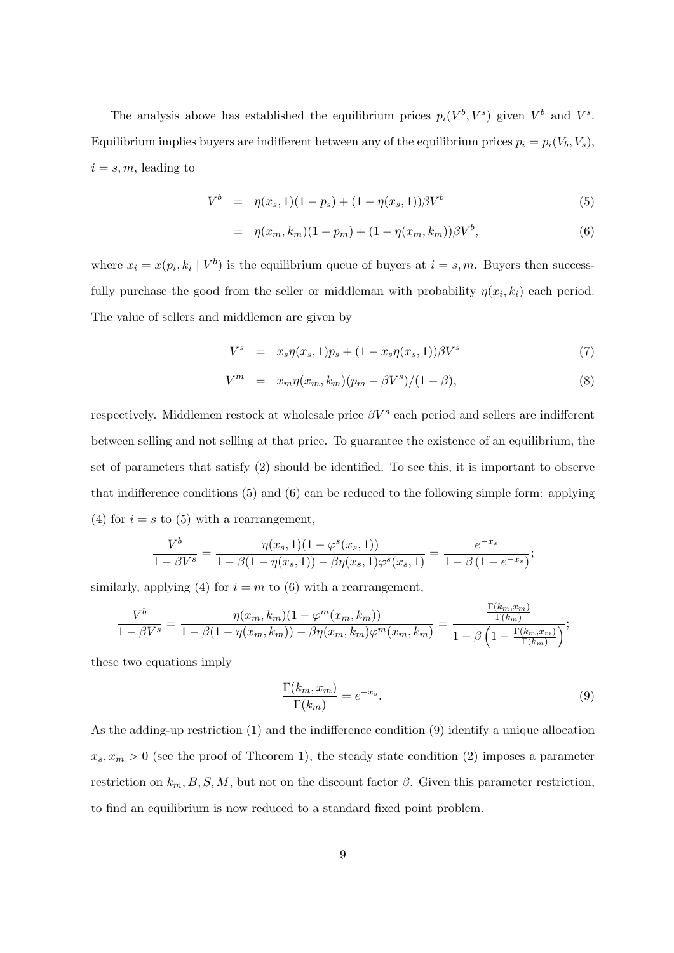The analysis above has established the equilibrium prices  $p_i(V^b, V^s)$  given  $V^b$  and  $V^s$ . Equilibrium implies buyers are indifferent between any of the equilibrium prices  $p_i = p_i(V_b, V_s)$ ,  $i = s, m$ , leading to

$$
V^{b} = \eta(x_s, 1)(1 - p_s) + (1 - \eta(x_s, 1))\beta V^{b}
$$
\n(5)

$$
= \eta(x_m, k_m)(1 - p_m) + (1 - \eta(x_m, k_m))\beta V^b, \tag{6}
$$

where  $x_i = x(p_i, k_i \mid V^b)$  is the equilibrium queue of buyers at  $i = s, m$ . Buyers then successfully purchase the good from the seller or middleman with probability  $\eta(x_i, k_i)$  each period. The value of sellers and middlemen are given by

$$
V^{s} = x_{s} \eta(x_{s}, 1)p_{s} + (1 - x_{s} \eta(x_{s}, 1))\beta V^{s}
$$
\n(7)

$$
V^{m} = x_{m} \eta(x_{m}, k_{m}) (p_{m} - \beta V^{s})/(1 - \beta), \qquad (8)
$$

respectively. Middlemen restock at wholesale price  $\beta V^s$  each period and sellers are indifferent between selling and not selling at that price. To guarantee the existence of an equilibrium, the set of parameters that satisfy (2) should be identified. To see this, it is important to observe that indifference conditions (5) and (6) can be reduced to the following simple form: applying (4) for  $i = s$  to (5) with a rearrangement,

$$
\frac{V^b}{1-\beta V^s} = \frac{\eta(x_s,1)(1-\varphi^s(x_s,1))}{1-\beta(1-\eta(x_s,1))-\beta\eta(x_s,1)\varphi^s(x_s,1)} = \frac{e^{-x_s}}{1-\beta(1-e^{-x_s})};
$$

similarly, applying (4) for  $i = m$  to (6) with a rearrangement,

$$
\frac{V^b}{1-\beta V^s} = \frac{\eta(x_m, k_m)(1-\varphi^m(x_m, k_m))}{1-\beta(1-\eta(x_m, k_m))-\beta\eta(x_m, k_m)\varphi^m(x_m, k_m)} = \frac{\frac{\Gamma(k_m, x_m)}{\Gamma(k_m)}}{1-\beta\left(1-\frac{\Gamma(k_m, x_m)}{\Gamma(k_m)}\right)};
$$

these two equations imply

$$
\frac{\Gamma(k_m, x_m)}{\Gamma(k_m)} = e^{-x_s}.\tag{9}
$$

As the adding-up restriction (1) and the indifference condition (9) identify a unique allocation  $x_s, x_m > 0$  (see the proof of Theorem 1), the steady state condition (2) imposes a parameter restriction on  $k_m$ , B, S, M, but not on the discount factor  $\beta$ . Given this parameter restriction, to find an equilibrium is now reduced to a standard fixed point problem.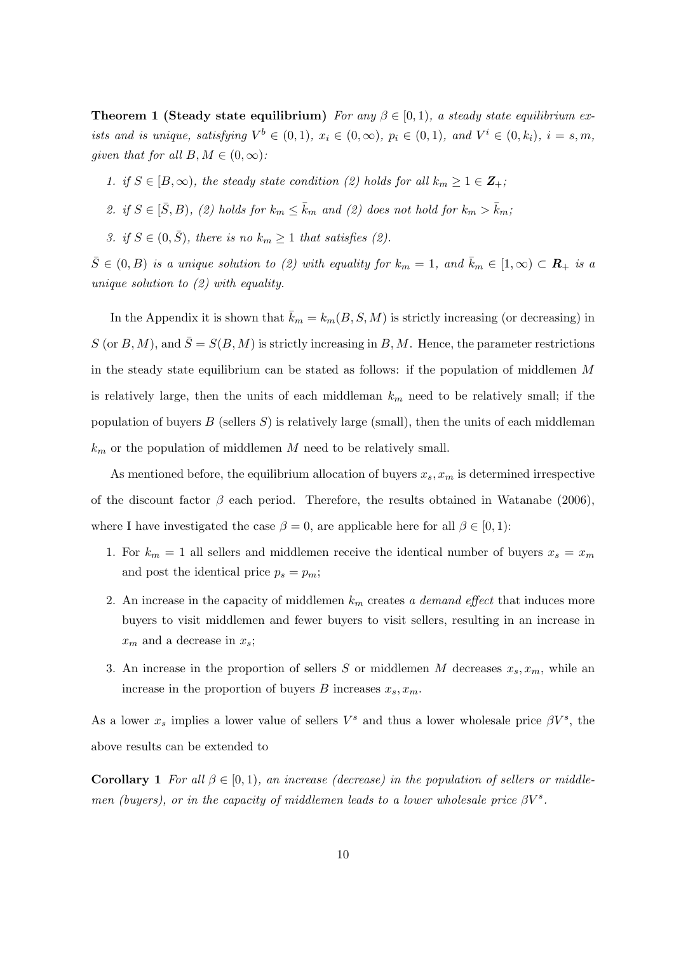**Theorem 1 (Steady state equilibrium)** For any  $\beta \in [0,1)$ , a steady state equilibrium exists and is unique, satisfying  $V^b \in (0,1)$ ,  $x_i \in (0,\infty)$ ,  $p_i \in (0,1)$ , and  $V^i \in (0,k_i)$ ,  $i = s, m$ , given that for all  $B, M \in (0, \infty)$ :

- 1. if  $S \in [B,\infty)$ , the steady state condition (2) holds for all  $k_m \geq 1 \in \mathbb{Z}_+$ ;
- 2. if  $S \in [\bar{S}, B)$ , (2) holds for  $k_m \le \bar{k}_m$  and (2) does not hold for  $k_m > \bar{k}_m$ ;
- 3. if  $S \in (0, \bar{S})$ , there is no  $k_m \geq 1$  that satisfies (2).

 $\bar{S} \in (0, B)$  is a unique solution to (2) with equality for  $k_m = 1$ , and  $\bar{k}_m \in [1, \infty) \subset \mathbb{R}_+$  is a unique solution to (2) with equality.

In the Appendix it is shown that  $\bar{k}_m = k_m(B, S, M)$  is strictly increasing (or decreasing) in S (or B, M), and  $\overline{S} = S(B, M)$  is strictly increasing in B, M. Hence, the parameter restrictions in the steady state equilibrium can be stated as follows: if the population of middlemen M is relatively large, then the units of each middleman  $k_m$  need to be relatively small; if the population of buyers  $B$  (sellers  $S$ ) is relatively large (small), then the units of each middleman  $k<sub>m</sub>$  or the population of middlemen M need to be relatively small.

As mentioned before, the equilibrium allocation of buyers  $x_s, x_m$  is determined irrespective of the discount factor  $\beta$  each period. Therefore, the results obtained in Watanabe (2006), where I have investigated the case  $\beta = 0$ , are applicable here for all  $\beta \in [0, 1)$ :

- 1. For  $k_m = 1$  all sellers and middlemen receive the identical number of buyers  $x_s = x_m$ and post the identical price  $p_s = p_m$ ;
- 2. An increase in the capacity of middlemen  $k<sub>m</sub>$  creates a demand effect that induces more buyers to visit middlemen and fewer buyers to visit sellers, resulting in an increase in  $x_m$  and a decrease in  $x_s$ ;
- 3. An increase in the proportion of sellers S or middlemen M decreases  $x_s, x_m$ , while an increase in the proportion of buyers B increases  $x_s, x_m$ .

As a lower  $x_s$  implies a lower value of sellers  $V^s$  and thus a lower wholesale price  $\beta V^s$ , the above results can be extended to

**Corollary 1** For all  $\beta \in [0,1)$ , an increase (decrease) in the population of sellers or middlemen (buyers), or in the capacity of middlemen leads to a lower wholesale price  $\beta V^s$ .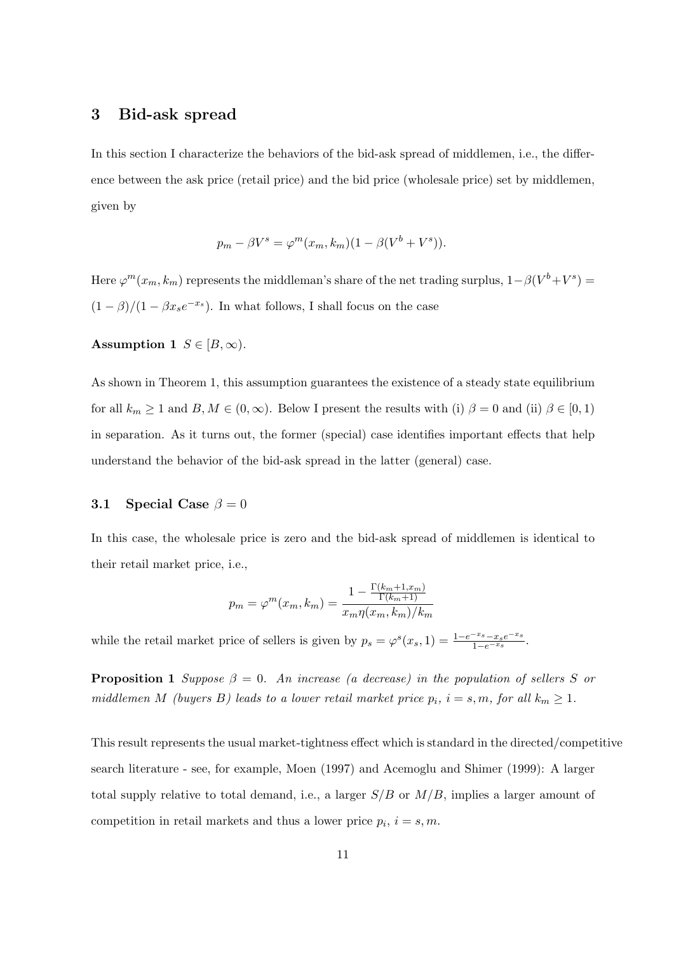## 3 Bid-ask spread

In this section I characterize the behaviors of the bid-ask spread of middlemen, i.e., the difference between the ask price (retail price) and the bid price (wholesale price) set by middlemen, given by

$$
p_m - \beta V^s = \varphi^m(x_m, k_m)(1 - \beta(V^b + V^s)).
$$

Here  $\varphi^m(x_m, k_m)$  represents the middleman's share of the net trading surplus,  $1 - \beta(V^b + V^s) =$  $(1 - \beta)/(1 - \beta x_s e^{-x_s})$ . In what follows, I shall focus on the case

Assumption 1  $S \in [B,\infty)$ .

As shown in Theorem 1, this assumption guarantees the existence of a steady state equilibrium for all  $k_m \ge 1$  and  $B, M \in (0, \infty)$ . Below I present the results with (i)  $\beta = 0$  and (ii)  $\beta \in [0, 1)$ in separation. As it turns out, the former (special) case identifies important effects that help understand the behavior of the bid-ask spread in the latter (general) case.

### 3.1 Special Case  $\beta = 0$

In this case, the wholesale price is zero and the bid-ask spread of middlemen is identical to their retail market price, i.e.,

$$
p_m = \varphi^m(x_m, k_m) = \frac{1 - \frac{\Gamma(k_m + 1, x_m)}{\Gamma(k_m + 1)}}{x_m \eta(x_m, k_m)/k_m}
$$

while the retail market price of sellers is given by  $p_s = \varphi^s(x_s, 1) = \frac{1 - e^{-x_s} - x_s e^{-x_s}}{1 - e^{-x_s}}$ .

**Proposition 1** Suppose  $\beta = 0$ . An increase (a decrease) in the population of sellers S or middlemen M (buyers B) leads to a lower retail market price  $p_i$ ,  $i = s, m$ , for all  $k_m \geq 1$ .

This result represents the usual market-tightness effect which is standard in the directed/competitive search literature - see, for example, Moen (1997) and Acemoglu and Shimer (1999): A larger total supply relative to total demand, i.e., a larger  $S/B$  or  $M/B$ , implies a larger amount of competition in retail markets and thus a lower price  $p_i$ ,  $i = s, m$ .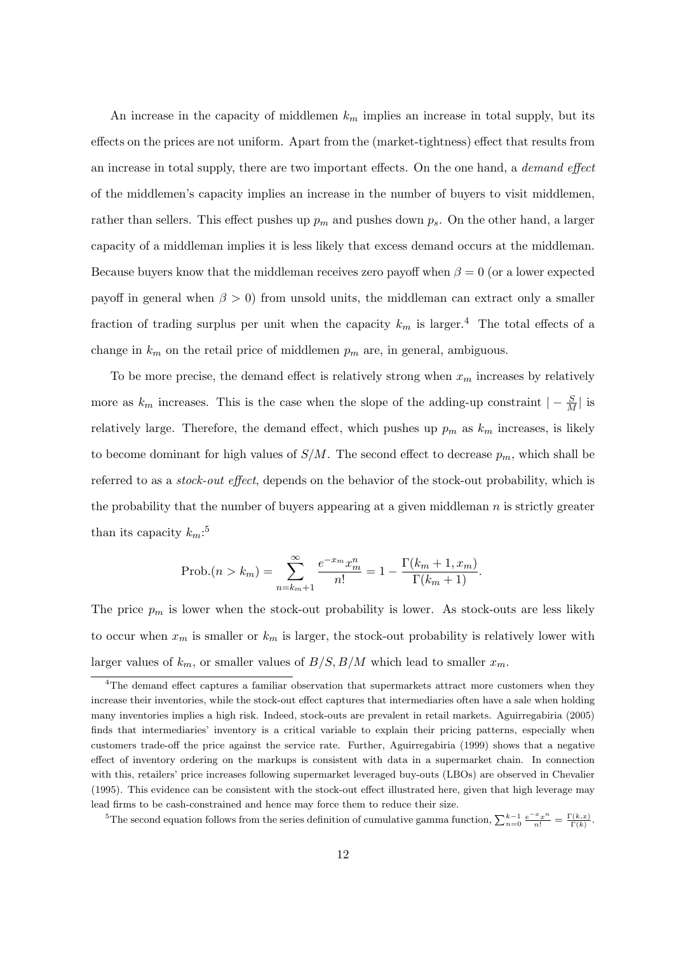An increase in the capacity of middlemen  $k_m$  implies an increase in total supply, but its effects on the prices are not uniform. Apart from the (market-tightness) effect that results from an increase in total supply, there are two important effects. On the one hand, a demand effect of the middlemen's capacity implies an increase in the number of buyers to visit middlemen, rather than sellers. This effect pushes up  $p_m$  and pushes down  $p_s$ . On the other hand, a larger capacity of a middleman implies it is less likely that excess demand occurs at the middleman. Because buyers know that the middleman receives zero payoff when  $\beta = 0$  (or a lower expected payoff in general when  $\beta > 0$ ) from unsold units, the middleman can extract only a smaller fraction of trading surplus per unit when the capacity  $k_m$  is larger.<sup>4</sup> The total effects of a change in  $k_m$  on the retail price of middlemen  $p_m$  are, in general, ambiguous.

To be more precise, the demand effect is relatively strong when  $x_m$  increases by relatively more as  $k_m$  increases. This is the case when the slope of the adding-up constraint  $|-\frac{S}{M}|$  is relatively large. Therefore, the demand effect, which pushes up  $p_m$  as  $k_m$  increases, is likely to become dominant for high values of  $S/M$ . The second effect to decrease  $p_m$ , which shall be referred to as a stock-out effect, depends on the behavior of the stock-out probability, which is the probability that the number of buyers appearing at a given middleman  $n$  is strictly greater than its capacity  $k_m$ :<sup>5</sup>

Prob.(n > k<sub>m</sub>) = 
$$
\sum_{n=k_m+1}^{\infty} \frac{e^{-x_m} x_m^n}{n!} = 1 - \frac{\Gamma(k_m+1, x_m)}{\Gamma(k_m+1)}.
$$

The price  $p_m$  is lower when the stock-out probability is lower. As stock-outs are less likely to occur when  $x_m$  is smaller or  $k_m$  is larger, the stock-out probability is relatively lower with larger values of  $k_m$ , or smaller values of  $B/S$ ,  $B/M$  which lead to smaller  $x_m$ .

<sup>5</sup>The second equation follows from the series definition of cumulative gamma function,  $\sum_{n=0}^{k-1} \frac{e^{-x}x^n}{n!} = \frac{\Gamma(k,x)}{\Gamma(k)}$ .

<sup>&</sup>lt;sup>4</sup>The demand effect captures a familiar observation that supermarkets attract more customers when they increase their inventories, while the stock-out effect captures that intermediaries often have a sale when holding many inventories implies a high risk. Indeed, stock-outs are prevalent in retail markets. Aguirregabiria (2005) finds that intermediaries' inventory is a critical variable to explain their pricing patterns, especially when customers trade-off the price against the service rate. Further, Aguirregabiria (1999) shows that a negative effect of inventory ordering on the markups is consistent with data in a supermarket chain. In connection with this, retailers' price increases following supermarket leveraged buy-outs (LBOs) are observed in Chevalier (1995). This evidence can be consistent with the stock-out effect illustrated here, given that high leverage may lead firms to be cash-constrained and hence may force them to reduce their size.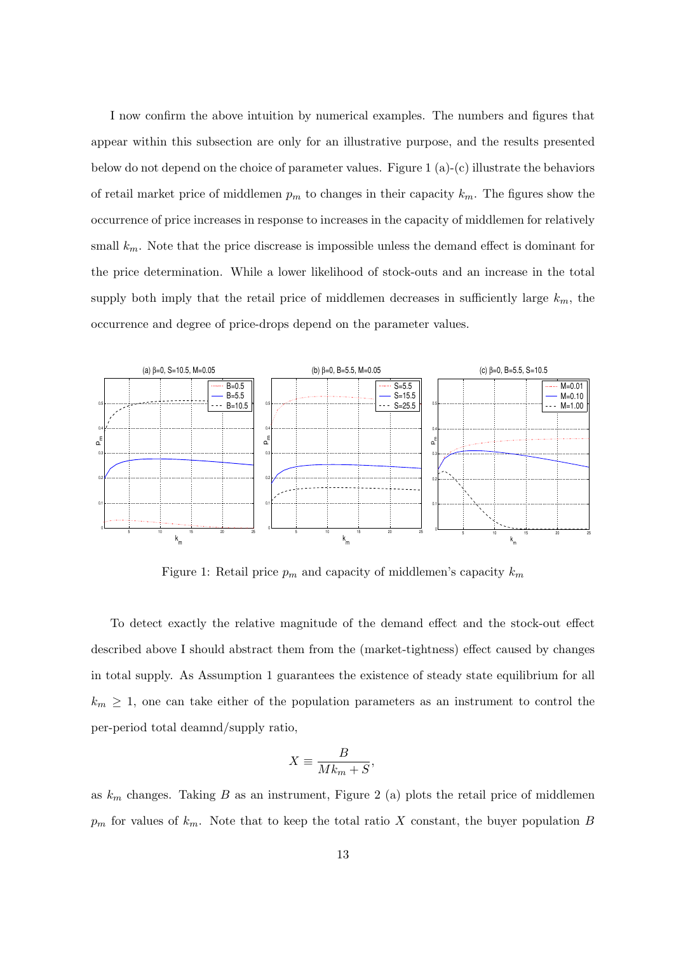I now confirm the above intuition by numerical examples. The numbers and figures that appear within this subsection are only for an illustrative purpose, and the results presented below do not depend on the choice of parameter values. Figure 1 (a)-(c) illustrate the behaviors of retail market price of middlemen  $p_m$  to changes in their capacity  $k_m$ . The figures show the occurrence of price increases in response to increases in the capacity of middlemen for relatively small  $k_m$ . Note that the price discrease is impossible unless the demand effect is dominant for the price determination. While a lower likelihood of stock-outs and an increase in the total supply both imply that the retail price of middlemen decreases in sufficiently large  $k_m$ , the occurrence and degree of price-drops depend on the parameter values.



Figure 1: Retail price  $p_m$  and capacity of middlemen's capacity  $k_m$ 

To detect exactly the relative magnitude of the demand effect and the stock-out effect described above I should abstract them from the (market-tightness) effect caused by changes in total supply. As Assumption 1 guarantees the existence of steady state equilibrium for all  $k_m \geq 1$ , one can take either of the population parameters as an instrument to control the per-period total deamnd/supply ratio,

$$
X \equiv \frac{B}{Mk_m + S},
$$

as  $k_m$  changes. Taking B as an instrument, Figure 2 (a) plots the retail price of middlemen  $p_m$  for values of  $k_m$ . Note that to keep the total ratio X constant, the buyer population B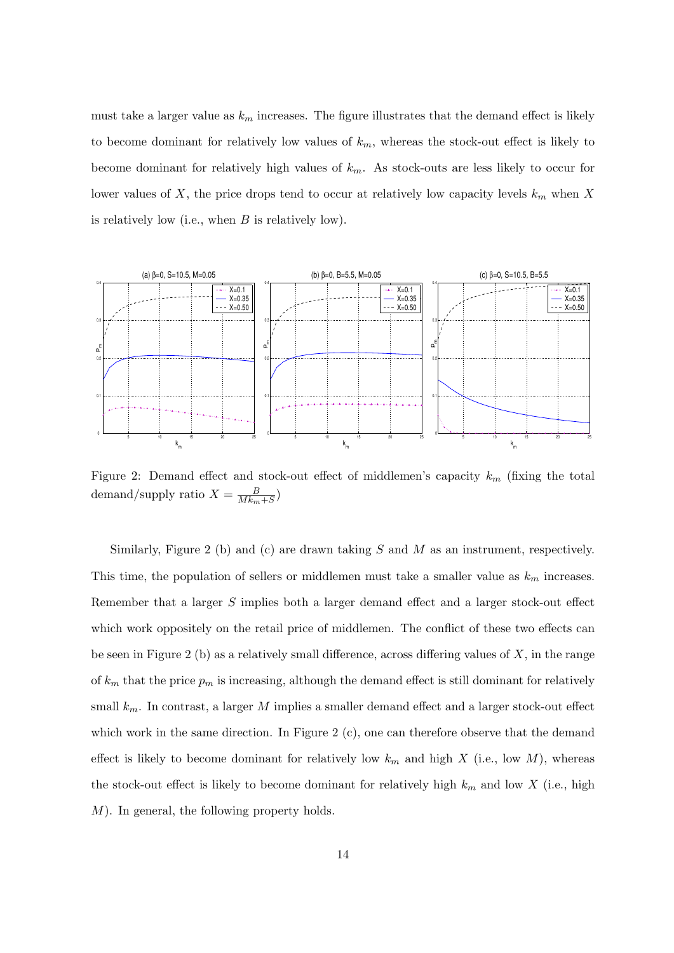must take a larger value as  $k_m$  increases. The figure illustrates that the demand effect is likely to become dominant for relatively low values of  $k_m$ , whereas the stock-out effect is likely to become dominant for relatively high values of  $k_m$ . As stock-outs are less likely to occur for lower values of X, the price drops tend to occur at relatively low capacity levels  $k_m$  when X is relatively low (i.e., when  $B$  is relatively low).



Figure 2: Demand effect and stock-out effect of middlemen's capacity  $k_m$  (fixing the total demand/supply ratio  $X = \frac{B}{Mk}$  $\frac{B}{Mk_m+S}$ 

Similarly, Figure 2 (b) and (c) are drawn taking  $S$  and  $M$  as an instrument, respectively. This time, the population of sellers or middlemen must take a smaller value as  $k_m$  increases. Remember that a larger S implies both a larger demand effect and a larger stock-out effect which work oppositely on the retail price of middlemen. The conflict of these two effects can be seen in Figure 2 (b) as a relatively small difference, across differing values of  $X$ , in the range of  $k_m$  that the price  $p_m$  is increasing, although the demand effect is still dominant for relatively small  $k_m$ . In contrast, a larger M implies a smaller demand effect and a larger stock-out effect which work in the same direction. In Figure 2  $(c)$ , one can therefore observe that the demand effect is likely to become dominant for relatively low  $k_m$  and high X (i.e., low M), whereas the stock-out effect is likely to become dominant for relatively high  $k_m$  and low X (i.e., high M). In general, the following property holds.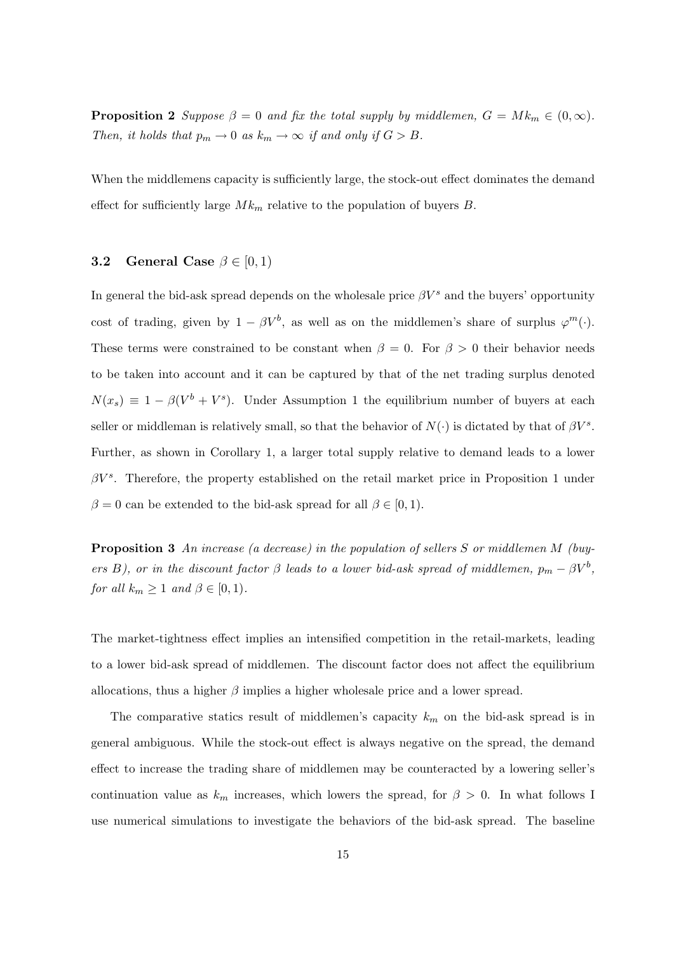**Proposition 2** Suppose  $\beta = 0$  and fix the total supply by middlemen,  $G = Mk_m \in (0, \infty)$ . Then, it holds that  $p_m \to 0$  as  $k_m \to \infty$  if and only if  $G > B$ .

When the middlemens capacity is sufficiently large, the stock-out effect dominates the demand effect for sufficiently large  $M k_m$  relative to the population of buyers B.

### **3.2** General Case  $\beta \in [0, 1)$

In general the bid-ask spread depends on the wholesale price  $\beta V^s$  and the buyers' opportunity cost of trading, given by  $1 - \beta V^b$ , as well as on the middlemen's share of surplus  $\varphi^m(\cdot)$ . These terms were constrained to be constant when  $\beta = 0$ . For  $\beta > 0$  their behavior needs to be taken into account and it can be captured by that of the net trading surplus denoted  $N(x_s) \equiv 1 - \beta(V^b + V^s)$ . Under Assumption 1 the equilibrium number of buyers at each seller or middleman is relatively small, so that the behavior of  $N(\cdot)$  is dictated by that of  $\beta V^s$ . Further, as shown in Corollary 1, a larger total supply relative to demand leads to a lower  $\beta V^s$ . Therefore, the property established on the retail market price in Proposition 1 under  $\beta = 0$  can be extended to the bid-ask spread for all  $\beta \in [0, 1)$ .

Proposition 3 An increase (a decrease) in the population of sellers S or middlemen M (buyers B), or in the discount factor  $\beta$  leads to a lower bid-ask spread of middlemen,  $p_m - \beta V^b$ , for all  $k_m \geq 1$  and  $\beta \in [0,1)$ .

The market-tightness effect implies an intensified competition in the retail-markets, leading to a lower bid-ask spread of middlemen. The discount factor does not affect the equilibrium allocations, thus a higher  $\beta$  implies a higher wholesale price and a lower spread.

The comparative statics result of middlemen's capacity  $k_m$  on the bid-ask spread is in general ambiguous. While the stock-out effect is always negative on the spread, the demand effect to increase the trading share of middlemen may be counteracted by a lowering seller's continuation value as  $k_m$  increases, which lowers the spread, for  $\beta > 0$ . In what follows I use numerical simulations to investigate the behaviors of the bid-ask spread. The baseline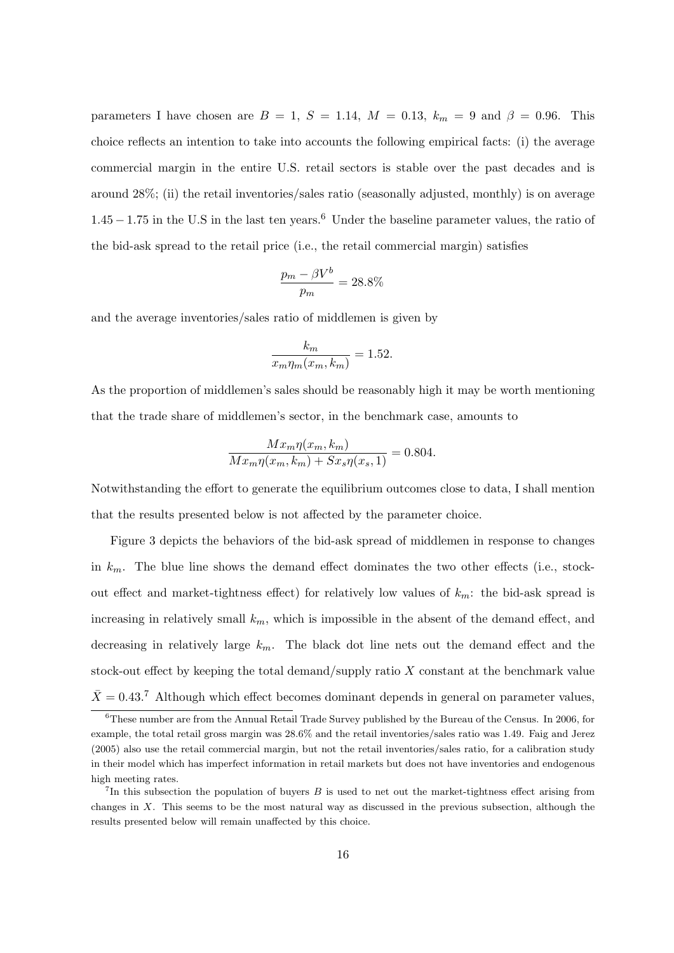parameters I have chosen are  $B = 1, S = 1.14, M = 0.13, k_m = 9$  and  $\beta = 0.96$ . This choice reflects an intention to take into accounts the following empirical facts: (i) the average commercial margin in the entire U.S. retail sectors is stable over the past decades and is around 28%; (ii) the retail inventories/sales ratio (seasonally adjusted, monthly) is on average  $1.45 - 1.75$  in the U.S in the last ten years.<sup>6</sup> Under the baseline parameter values, the ratio of the bid-ask spread to the retail price (i.e., the retail commercial margin) satisfies

$$
\frac{p_m - \beta V^b}{p_m} = 28.8\%
$$

and the average inventories/sales ratio of middlemen is given by

$$
\frac{k_m}{x_m \eta_m(x_m, k_m)} = 1.52.
$$

As the proportion of middlemen's sales should be reasonably high it may be worth mentioning that the trade share of middlemen's sector, in the benchmark case, amounts to

$$
\frac{Mx_m\eta(x_m, k_m)}{Mx_m\eta(x_m, k_m) + Sx_s\eta(x_s, 1)} = 0.804.
$$

Notwithstanding the effort to generate the equilibrium outcomes close to data, I shall mention that the results presented below is not affected by the parameter choice.

Figure 3 depicts the behaviors of the bid-ask spread of middlemen in response to changes in  $k_m$ . The blue line shows the demand effect dominates the two other effects (i.e., stockout effect and market-tightness effect) for relatively low values of  $k_m$ : the bid-ask spread is increasing in relatively small  $k_m$ , which is impossible in the absent of the demand effect, and decreasing in relatively large  $k_m$ . The black dot line nets out the demand effect and the stock-out effect by keeping the total demand/supply ratio  $X$  constant at the benchmark value  $\bar{X} = 0.43$ .<sup>7</sup> Although which effect becomes dominant depends in general on parameter values,

<sup>6</sup>These number are from the Annual Retail Trade Survey published by the Bureau of the Census. In 2006, for example, the total retail gross margin was 28.6% and the retail inventories/sales ratio was 1.49. Faig and Jerez (2005) also use the retail commercial margin, but not the retail inventories/sales ratio, for a calibration study in their model which has imperfect information in retail markets but does not have inventories and endogenous high meeting rates.

<sup>&</sup>lt;sup>7</sup>In this subsection the population of buyers  $B$  is used to net out the market-tightness effect arising from changes in X. This seems to be the most natural way as discussed in the previous subsection, although the results presented below will remain unaffected by this choice.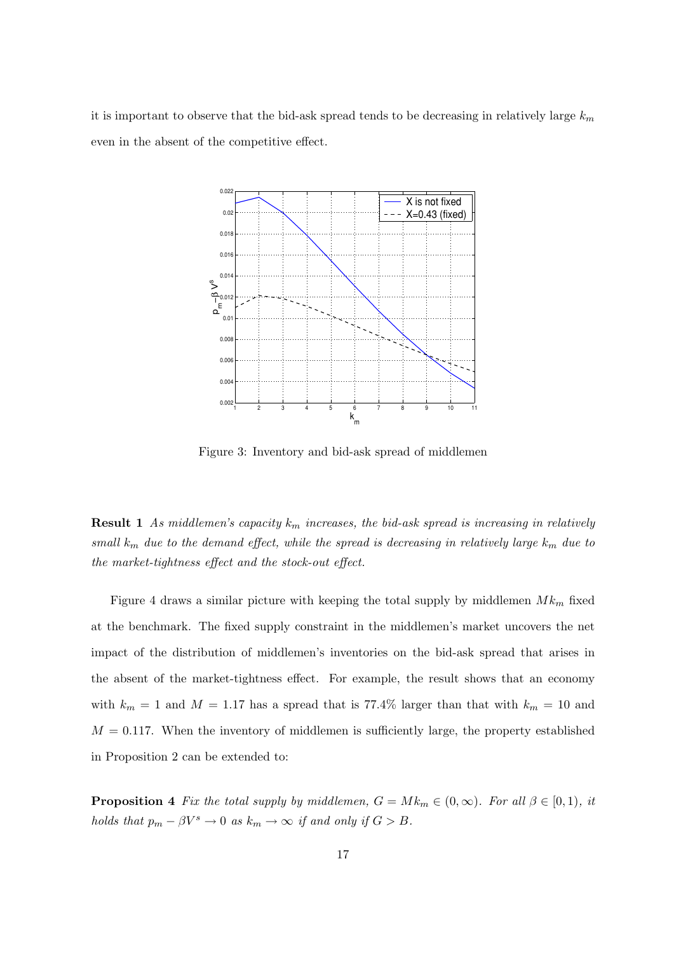it is important to observe that the bid-ask spread tends to be decreasing in relatively large  $k_m$ even in the absent of the competitive effect.



Figure 3: Inventory and bid-ask spread of middlemen

**Result 1** As middlemen's capacity  $k_m$  increases, the bid-ask spread is increasing in relatively small  $k_m$  due to the demand effect, while the spread is decreasing in relatively large  $k_m$  due to the market-tightness effect and the stock-out effect.

Figure 4 draws a similar picture with keeping the total supply by middlemen  $M k_m$  fixed at the benchmark. The fixed supply constraint in the middlemen's market uncovers the net impact of the distribution of middlemen's inventories on the bid-ask spread that arises in the absent of the market-tightness effect. For example, the result shows that an economy with  $k_m = 1$  and  $M = 1.17$  has a spread that is 77.4% larger than that with  $k_m = 10$  and  $M = 0.117$ . When the inventory of middlemen is sufficiently large, the property established in Proposition 2 can be extended to:

**Proposition 4** Fix the total supply by middlemen,  $G = Mk_m \in (0, \infty)$ . For all  $\beta \in [0, 1)$ , it holds that  $p_m - \beta V^s \to 0$  as  $k_m \to \infty$  if and only if  $G > B$ .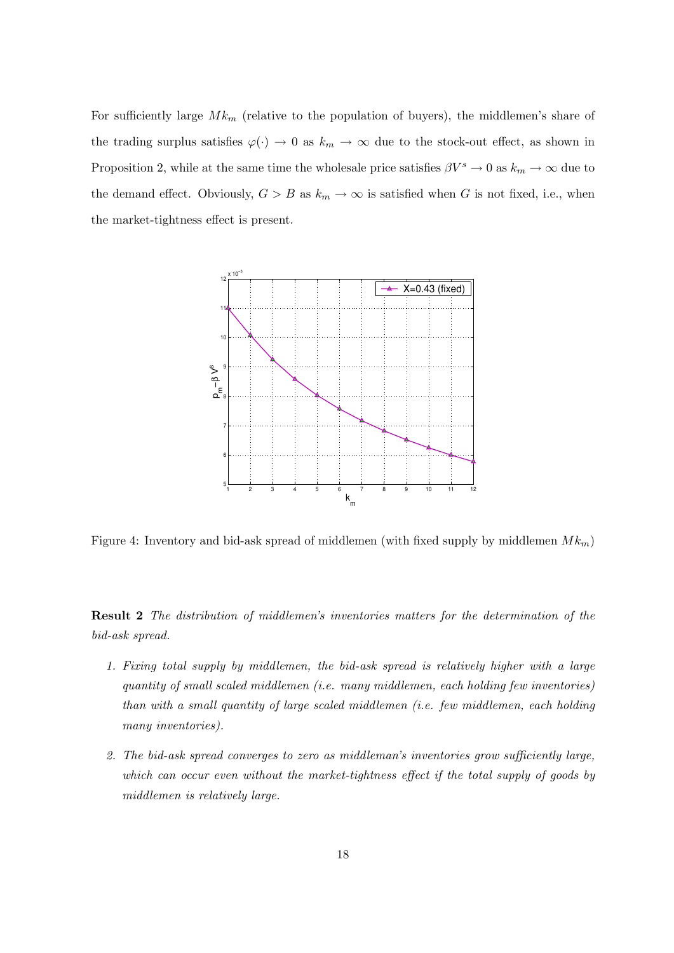For sufficiently large  $M k_m$  (relative to the population of buyers), the middlemen's share of the trading surplus satisfies  $\varphi(\cdot) \to 0$  as  $k_m \to \infty$  due to the stock-out effect, as shown in Proposition 2, while at the same time the wholesale price satisfies  $\beta V^s \to 0$  as  $k_m \to \infty$  due to the demand effect. Obviously,  $G > B$  as  $k_m \to \infty$  is satisfied when G is not fixed, i.e., when the market-tightness effect is present.



Figure 4: Inventory and bid-ask spread of middlemen (with fixed supply by middlemen  $M k_m$ )

Result 2 The distribution of middlemen's inventories matters for the determination of the bid-ask spread.

- 1. Fixing total supply by middlemen, the bid-ask spread is relatively higher with a large quantity of small scaled middlemen (i.e. many middlemen, each holding few inventories) than with a small quantity of large scaled middlemen (i.e. few middlemen, each holding many inventories).
- 2. The bid-ask spread converges to zero as middleman's inventories grow sufficiently large, which can occur even without the market-tightness effect if the total supply of goods by middlemen is relatively large.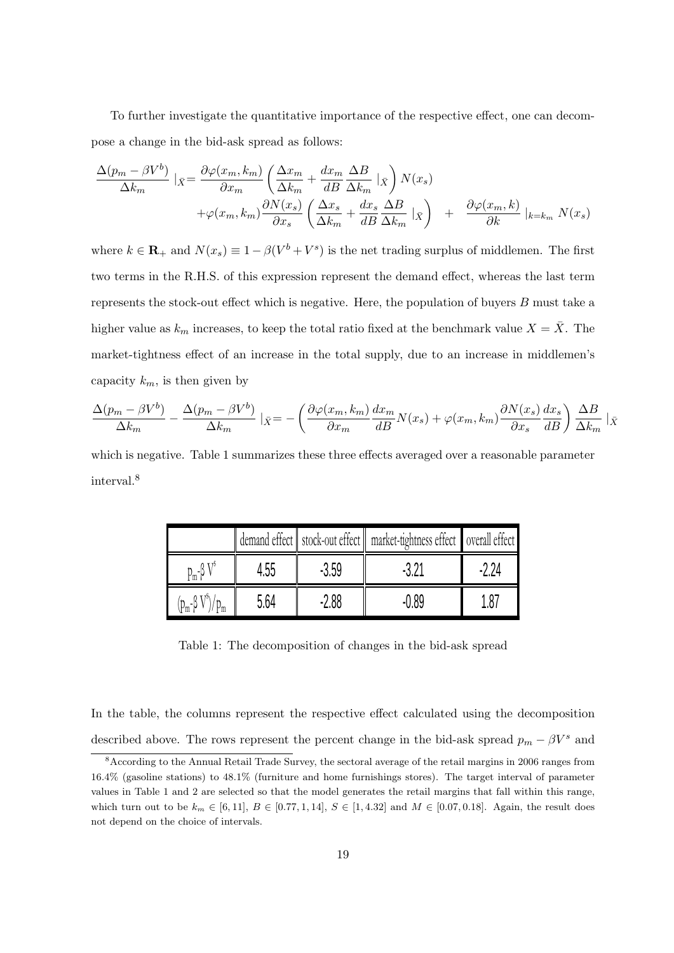To further investigate the quantitative importance of the respective effect, one can decompose a change in the bid-ask spread as follows:

$$
\frac{\Delta(p_m - \beta V^b)}{\Delta k_m} \mid_{\bar{X}} = \frac{\partial \varphi(x_m, k_m)}{\partial x_m} \left( \frac{\Delta x_m}{\Delta k_m} + \frac{dx_m}{dB} \frac{\Delta B}{\Delta k_m} \mid_{\bar{X}} \right) N(x_s) \n+ \varphi(x_m, k_m) \frac{\partial N(x_s)}{\partial x_s} \left( \frac{\Delta x_s}{\Delta k_m} + \frac{dx_s}{dB} \frac{\Delta B}{\Delta k_m} \mid_{\bar{X}} \right) + \frac{\partial \varphi(x_m, k)}{\partial k} \mid_{k = k_m} N(x_s)
$$

where  $k \in \mathbf{R}_+$  and  $N(x_s) \equiv 1 - \beta(V^b + V^s)$  is the net trading surplus of middlemen. The first two terms in the R.H.S. of this expression represent the demand effect, whereas the last term represents the stock-out effect which is negative. Here, the population of buyers B must take a higher value as  $k_m$  increases, to keep the total ratio fixed at the benchmark value  $X = \overline{X}$ . The market-tightness effect of an increase in the total supply, due to an increase in middlemen's capacity  $k_m$ , is then given by

$$
\frac{\Delta(p_m - \beta V^b)}{\Delta k_m} - \frac{\Delta(p_m - \beta V^b)}{\Delta k_m} |_{\bar{X}} = -\left(\frac{\partial \varphi(x_m, k_m)}{\partial x_m} \frac{dx_m}{dB} N(x_s) + \varphi(x_m, k_m) \frac{\partial N(x_s)}{\partial x_s} \frac{dx_s}{dB}\right) \frac{\Delta B}{\Delta k_m} |_{\bar{X}}
$$

which is negative. Table 1 summarizes these three effects averaged over a reasonable parameter interval.<sup>8</sup>

|               |      |         | demand effect   stock-out effect   market-tightness effect   overall effect |  |
|---------------|------|---------|-----------------------------------------------------------------------------|--|
| $p_m - \beta$ | 4.55 | $-3.59$ |                                                                             |  |
|               | 5.64 | .2.88   | -1189                                                                       |  |

Table 1: The decomposition of changes in the bid-ask spread

In the table, the columns represent the respective effect calculated using the decomposition described above. The rows represent the percent change in the bid-ask spread  $p_m - \beta V^s$  and

<sup>8</sup>According to the Annual Retail Trade Survey, the sectoral average of the retail margins in 2006 ranges from 16.4% (gasoline stations) to 48.1% (furniture and home furnishings stores). The target interval of parameter values in Table 1 and 2 are selected so that the model generates the retail margins that fall within this range, which turn out to be  $k_m \in [6, 11]$ ,  $B \in [0.77, 1, 14]$ ,  $S \in [1, 4.32]$  and  $M \in [0.07, 0.18]$ . Again, the result does not depend on the choice of intervals.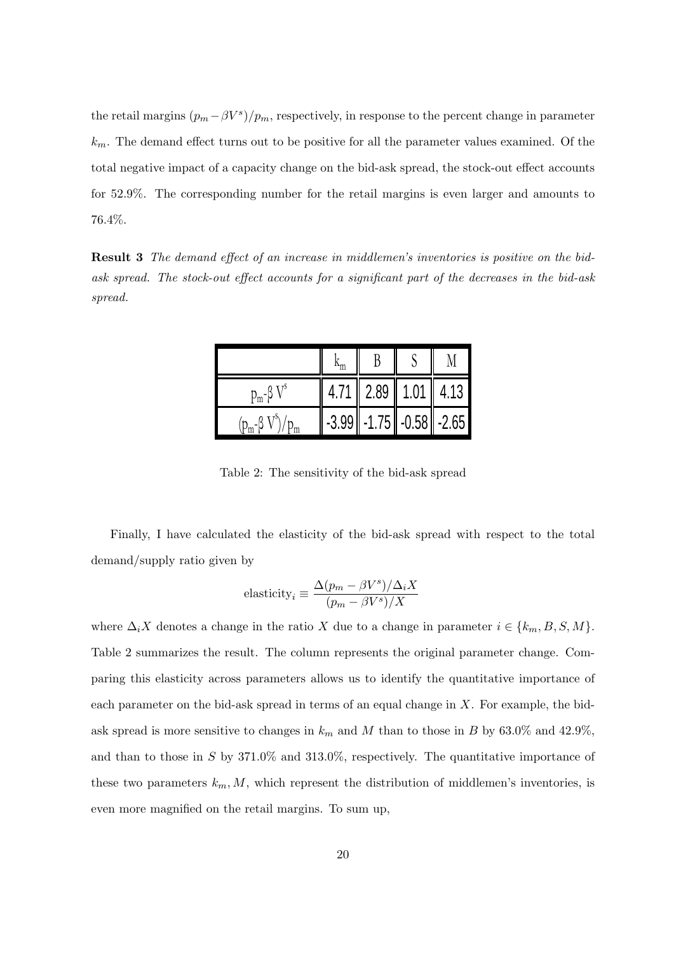the retail margins  $(p_m - \beta V^s)/p_m$ , respectively, in response to the percent change in parameter  $k<sub>m</sub>$ . The demand effect turns out to be positive for all the parameter values examined. Of the total negative impact of a capacity change on the bid-ask spread, the stock-out effect accounts for 52.9%. The corresponding number for the retail margins is even larger and amounts to 76.4%.

Result 3 The demand effect of an increase in middlemen's inventories is positive on the bidask spread. The stock-out effect accounts for a significant part of the decreases in the bid-ask spread.

| p $_{\rm m}$ - $\beta$ | $4.71 \parallel$ | $2.89$   1.01         | 4.13 |
|------------------------|------------------|-----------------------|------|
|                        | $-3.99$          | $-1.75$ - 0.58 - 2.65 |      |

Table 2: The sensitivity of the bid-ask spread

Finally, I have calculated the elasticity of the bid-ask spread with respect to the total demand/supply ratio given by

$$
elasticity_i \equiv \frac{\Delta(p_m - \beta V^s)/\Delta_i X}{(p_m - \beta V^s)/X}
$$

where  $\Delta_i X$  denotes a change in the ratio X due to a change in parameter  $i \in \{k_m, B, S, M\}$ . Table 2 summarizes the result. The column represents the original parameter change. Comparing this elasticity across parameters allows us to identify the quantitative importance of each parameter on the bid-ask spread in terms of an equal change in X. For example, the bidask spread is more sensitive to changes in  $k_m$  and M than to those in B by 63.0% and 42.9%, and than to those in  $S$  by 371.0% and 313.0%, respectively. The quantitative importance of these two parameters  $k_m$ , M, which represent the distribution of middlemen's inventories, is even more magnified on the retail margins. To sum up,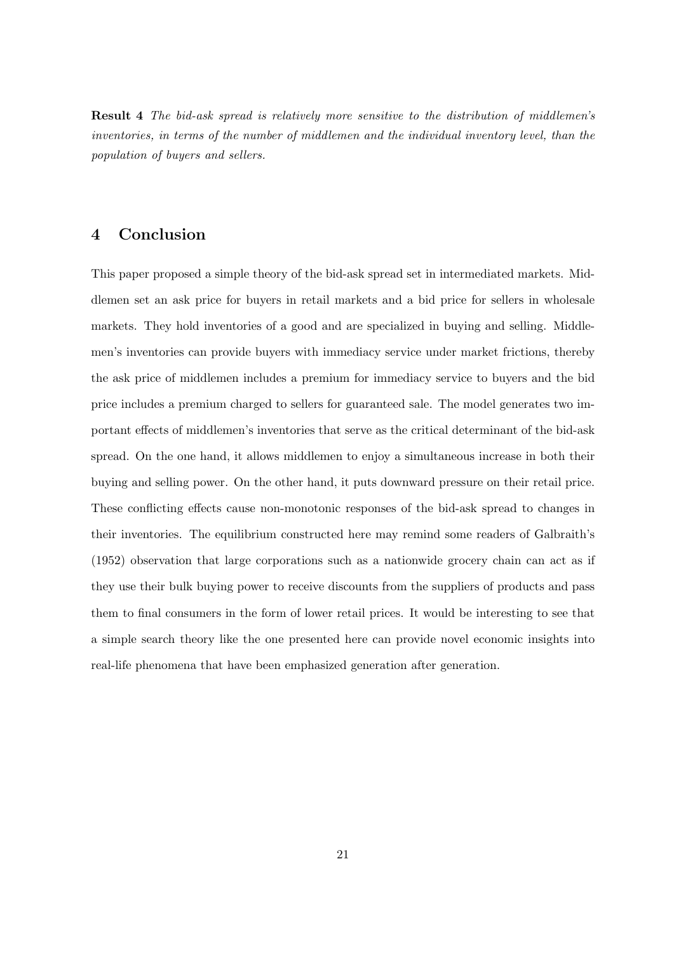Result 4 The bid-ask spread is relatively more sensitive to the distribution of middlemen's inventories, in terms of the number of middlemen and the individual inventory level, than the population of buyers and sellers.

## 4 Conclusion

This paper proposed a simple theory of the bid-ask spread set in intermediated markets. Middlemen set an ask price for buyers in retail markets and a bid price for sellers in wholesale markets. They hold inventories of a good and are specialized in buying and selling. Middlemen's inventories can provide buyers with immediacy service under market frictions, thereby the ask price of middlemen includes a premium for immediacy service to buyers and the bid price includes a premium charged to sellers for guaranteed sale. The model generates two important effects of middlemen's inventories that serve as the critical determinant of the bid-ask spread. On the one hand, it allows middlemen to enjoy a simultaneous increase in both their buying and selling power. On the other hand, it puts downward pressure on their retail price. These conflicting effects cause non-monotonic responses of the bid-ask spread to changes in their inventories. The equilibrium constructed here may remind some readers of Galbraith's (1952) observation that large corporations such as a nationwide grocery chain can act as if they use their bulk buying power to receive discounts from the suppliers of products and pass them to final consumers in the form of lower retail prices. It would be interesting to see that a simple search theory like the one presented here can provide novel economic insights into real-life phenomena that have been emphasized generation after generation.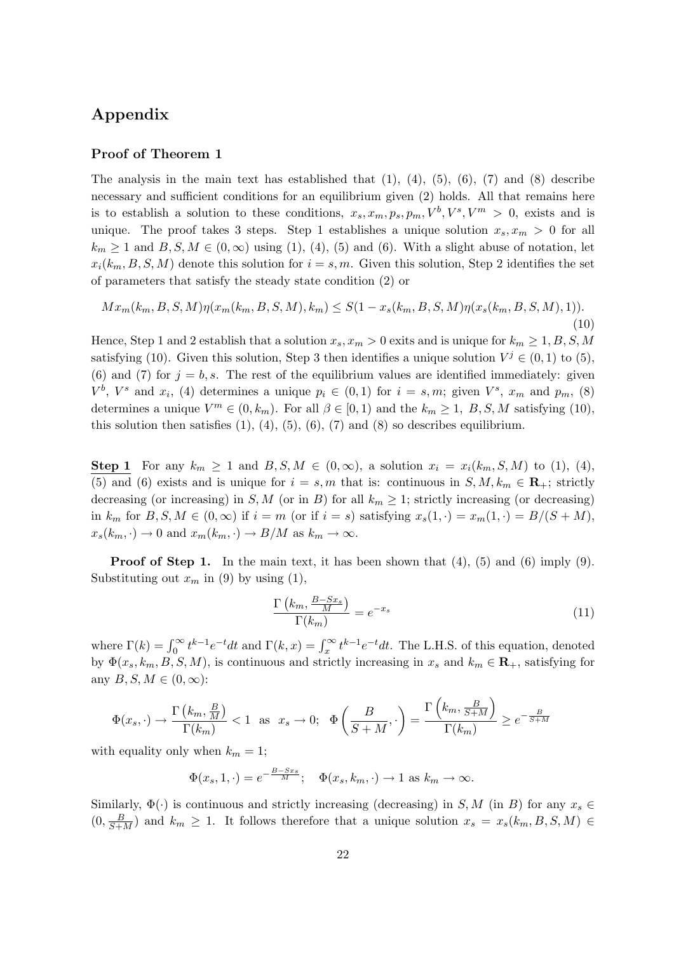## Appendix

### Proof of Theorem 1

The analysis in the main text has established that  $(1)$ ,  $(4)$ ,  $(5)$ ,  $(6)$ ,  $(7)$  and  $(8)$  describe necessary and sufficient conditions for an equilibrium given (2) holds. All that remains here is to establish a solution to these conditions,  $x_s, x_m, p_s, p_m, V^b, V^s, V^m > 0$ , exists and is unique. The proof takes 3 steps. Step 1 establishes a unique solution  $x_s, x_m > 0$  for all  $k_m \geq 1$  and  $B, S, M \in (0, \infty)$  using (1), (4), (5) and (6). With a slight abuse of notation, let  $x_i(k_m, B, S, M)$  denote this solution for  $i = s, m$ . Given this solution, Step 2 identifies the set of parameters that satisfy the steady state condition (2) or

$$
Mx_m(k_m, B, S, M)\eta(x_m(k_m, B, S, M), k_m) \leq S(1 - x_s(k_m, B, S, M)\eta(x_s(k_m, B, S, M), 1)).
$$
\n(10)

Hence, Step 1 and 2 establish that a solution  $x_s$ ,  $x_m > 0$  exits and is unique for  $k_m \ge 1, B, S, M$ satisfying (10). Given this solution, Step 3 then identifies a unique solution  $V^j \in (0,1)$  to (5), (6) and (7) for  $j = b, s$ . The rest of the equilibrium values are identified immediately: given  $V^b$ ,  $V^s$  and  $x_i$ , (4) determines a unique  $p_i \in (0,1)$  for  $i = s,m$ ; given  $V^s$ ,  $x_m$  and  $p_m$ , (8) determines a unique  $V^m \in (0, k_m)$ . For all  $\beta \in [0, 1)$  and the  $k_m \ge 1$ , B, S, M satisfying (10), this solution then satisfies  $(1)$ ,  $(4)$ ,  $(5)$ ,  $(6)$ ,  $(7)$  and  $(8)$  so describes equilibrium.

Step 1 For any  $k_m \geq 1$  and  $B, S, M \in (0, \infty)$ , a solution  $x_i = x_i(k_m, S, M)$  to (1), (4), (5) and (6) exists and is unique for  $i = s, m$  that is: continuous in  $S, M, k_m \in \mathbf{R}_+$ ; strictly decreasing (or increasing) in S, M (or in B) for all  $k_m \geq 1$ ; strictly increasing (or decreasing) in  $k_m$  for  $B, S, M \in (0, \infty)$  if  $i = m$  (or if  $i = s$ ) satisfying  $x_s(1, \cdot) = x_m(1, \cdot) = B/(S + M)$ ,  $x_s(k_m, \cdot) \to 0$  and  $x_m(k_m, \cdot) \to B/M$  as  $k_m \to \infty$ .

**Proof of Step 1.** In the main text, it has been shown that  $(4)$ ,  $(5)$  and  $(6)$  imply  $(9)$ . Substituting out  $x_m$  in (9) by using (1),

$$
\frac{\Gamma\left(k_m, \frac{B-Sx_s}{M}\right)}{\Gamma(k_m)} = e^{-x_s} \tag{11}
$$

where  $\Gamma(k) = \int_0^\infty t^{k-1} e^{-t} dt$  and  $\Gamma(k, x) = \int_x^\infty t^{k-1} e^{-t} dt$ . The L.H.S. of this equation, denoted by  $\Phi(x_s, k_m, B, S, M)$ , is continuous and strictly increasing in  $x_s$  and  $k_m \in \mathbf{R}_+$ , satisfying for any  $B, S, M \in (0, \infty)$ :

$$
\Phi(x_s, \cdot) \to \frac{\Gamma\left(k_m, \frac{B}{M}\right)}{\Gamma(k_m)} < 1 \quad \text{as} \quad x_s \to 0; \quad \Phi\left(\frac{B}{S+M}, \cdot\right) = \frac{\Gamma\left(k_m, \frac{B}{S+M}\right)}{\Gamma(k_m)} \ge e^{-\frac{B}{S+M}}
$$

with equality only when  $k_m = 1$ ;

$$
\Phi(x_s, 1, \cdot) = e^{-\frac{B - Sx_s}{M}}; \quad \Phi(x_s, k_m, \cdot) \to 1 \text{ as } k_m \to \infty.
$$

Similarly,  $\Phi(\cdot)$  is continuous and strictly increasing (decreasing) in S, M (in B) for any  $x_s \in$  $(0, \frac{B}{S+M})$  and  $k_m \geq 1$ . It follows therefore that a unique solution  $x_s = x_s(k_m, B, S, M)$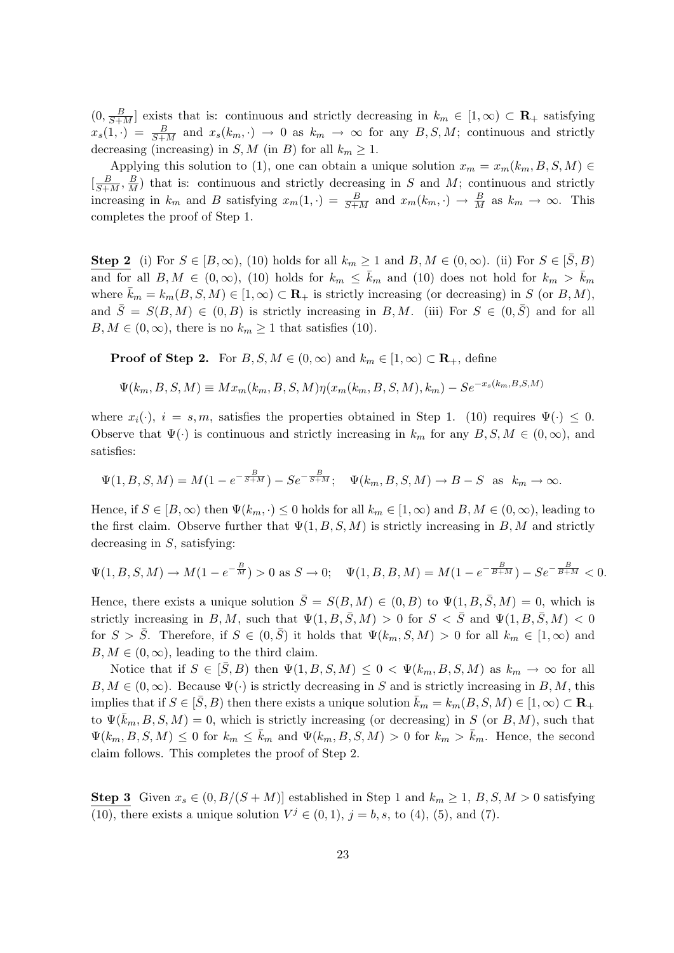$(0, \frac{B}{S+M}]$  exists that is: continuous and strictly decreasing in  $k_m \in [1,\infty) \subset \mathbf{R}_+$  satisfying  $x_s(1, \cdot) = \frac{B}{S+M}$  and  $x_s(k_m, \cdot) \rightarrow 0$  as  $k_m \rightarrow \infty$  for any  $B, S, M$ ; continuous and strictly decreasing (increasing) in S, M (in B) for all  $k_m \geq 1$ .

Applying this solution to (1), one can obtain a unique solution  $x_m = x_m(k_m, B, S, M) \in$  $\left[\frac{B}{S+M}, \frac{B}{M}\right]$  that is: continuous and strictly decreasing in S and M; continuous and strictly increasing in  $k_m$  and B satisfying  $x_m(1, \cdot) = \frac{B}{S+M}$  and  $x_m(k_m, \cdot) \to \frac{B}{M}$  as  $k_m \to \infty$ . This completes the proof of Step 1.

**Step 2** (i) For  $S \in [B,\infty)$ , (10) holds for all  $k_m \ge 1$  and  $B, M \in (0,\infty)$ . (ii) For  $S \in [\bar{S},B)$ and for all  $B, M \in (0, \infty)$ , (10) holds for  $k_m \leq \bar{k}_m$  and (10) does not hold for  $k_m > \bar{k}_m$ where  $\bar{k}_m = k_m(B, S, M) \in [1, \infty) \subset \mathbf{R}_+$  is strictly increasing (or decreasing) in S (or B, M), and  $\overline{S} = S(B, M) \in (0, B)$  is strictly increasing in B, M. (iii) For  $S \in (0, \overline{S})$  and for all  $B, M \in (0, \infty)$ , there is no  $k_m \geq 1$  that satisfies (10).

**Proof of Step 2.** For  $B, S, M \in (0, \infty)$  and  $k_m \in [1, \infty) \subset \mathbb{R}_+$ , define

$$
\Psi(k_m, B, S, M) \equiv M x_m(k_m, B, S, M) \eta(x_m(k_m, B, S, M), k_m) - S e^{-x_s(k_m, B, S, M)}
$$

where  $x_i(\cdot)$ ,  $i = s, m$ , satisfies the properties obtained in Step 1. (10) requires  $\Psi(\cdot) \leq 0$ . Observe that  $\Psi(\cdot)$  is continuous and strictly increasing in  $k_m$  for any  $B, S, M \in (0, \infty)$ , and satisfies:

$$
\Psi(1, B, S, M) = M(1 - e^{-\frac{B}{S+M}}) - S e^{-\frac{B}{S+M}}; \quad \Psi(k_m, B, S, M) \to B - S \text{ as } k_m \to \infty.
$$

Hence, if  $S \in [B,\infty)$  then  $\Psi(k_m,.) \leq 0$  holds for all  $k_m \in [1,\infty)$  and  $B, M \in (0,\infty)$ , leading to the first claim. Observe further that  $\Psi(1, B, S, M)$  is strictly increasing in B, M and strictly decreasing in  $S$ , satisfying:

$$
\Psi(1, B, S, M) \to M(1 - e^{-\frac{B}{M}}) > 0 \text{ as } S \to 0; \quad \Psi(1, B, B, M) = M(1 - e^{-\frac{B}{B + M}}) - S e^{-\frac{B}{B + M}} < 0.
$$

Hence, there exists a unique solution  $\bar{S} = S(B, M) \in (0, B)$  to  $\Psi(1, B, \bar{S}, M) = 0$ , which is strictly increasing in B, M, such that  $\Psi(1, B, \overline{S}, M) > 0$  for  $S < \overline{S}$  and  $\Psi(1, B, \overline{S}, M) < 0$ for  $S > S$ . Therefore, if  $S \in (0, S)$  it holds that  $\Psi(k_m, S, M) > 0$  for all  $k_m \in [1, \infty)$  and  $B, M \in (0, \infty)$ , leading to the third claim.

Notice that if  $S \in [\bar{S}, B]$  then  $\Psi(1, B, S, M) \leq 0 < \Psi(k_m, B, S, M)$  as  $k_m \to \infty$  for all  $B, M \in (0, \infty)$ . Because  $\Psi(\cdot)$  is strictly decreasing in S and is strictly increasing in  $B, M$ , this implies that if  $S \in [\bar{S}, B)$  then there exists a unique solution  $\bar{k}_m = k_m(B, S, M) \in [1, \infty) \subset \mathbb{R}_+$ to  $\Psi(\bar{k}_m, B, S, M) = 0$ , which is strictly increasing (or decreasing) in S (or B, M), such that  $\Psi(k_m, B, S, M) \leq 0$  for  $k_m \leq \bar{k}_m$  and  $\Psi(k_m, B, S, M) > 0$  for  $k_m > \bar{k}_m$ . Hence, the second claim follows. This completes the proof of Step 2.

Step 3 Given  $x_s \in (0, B/(S+M))$  established in Step 1 and  $k_m \ge 1, B, S, M > 0$  satisfying (10), there exists a unique solution  $V^j \in (0, 1)$ ,  $j = b, s$ , to (4), (5), and (7).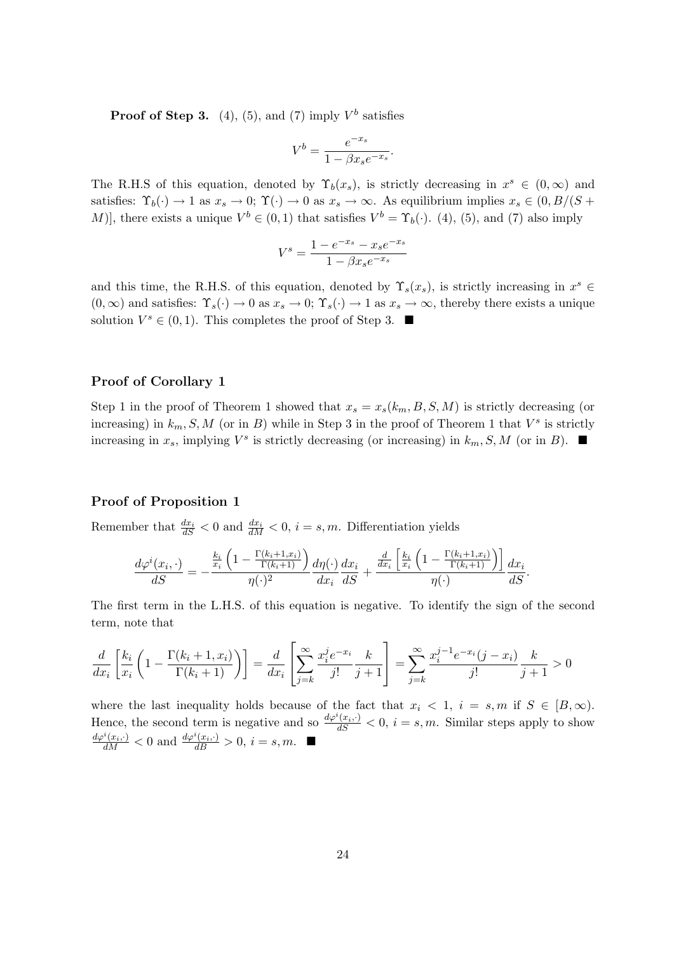**Proof of Step 3.** (4), (5), and (7) imply  $V^b$  satisfies

$$
V^b = \frac{e^{-x_s}}{1 - \beta x_s e^{-x_s}}.
$$

The R.H.S of this equation, denoted by  $\Upsilon_b(x_s)$ , is strictly decreasing in  $x^s \in (0,\infty)$  and satisfies:  $\Upsilon_b(\cdot) \to 1$  as  $x_s \to 0$ ;  $\Upsilon(\cdot) \to 0$  as  $x_s \to \infty$ . As equilibrium implies  $x_s \in (0, B/(S +$ M)], there exists a unique  $V^b \in (0,1)$  that satisfies  $V^b = \Upsilon_b(\cdot)$ . (4), (5), and (7) also imply

$$
V^{s} = \frac{1 - e^{-x_s} - x_s e^{-x_s}}{1 - \beta x_s e^{-x_s}}
$$

and this time, the R.H.S. of this equation, denoted by  $\Upsilon_s(x_s)$ , is strictly increasing in  $x^s \in$  $(0,\infty)$  and satisfies:  $\Upsilon_s(\cdot) \to 0$  as  $x_s \to 0$ ;  $\Upsilon_s(\cdot) \to 1$  as  $x_s \to \infty$ , thereby there exists a unique solution  $V^s \in (0,1)$ . This completes the proof of Step 3.

### Proof of Corollary 1

Step 1 in the proof of Theorem 1 showed that  $x_s = x_s(k_m, B, S, M)$  is strictly decreasing (or increasing) in  $k_m$ , S, M (or in B) while in Step 3 in the proof of Theorem 1 that  $V^s$  is strictly increasing in  $x_s$ , implying  $V^s$  is strictly decreasing (or increasing) in  $k_m$ , S, M (or in B).

### Proof of Proposition 1

Remember that  $\frac{dx_i}{dS} < 0$  and  $\frac{dx_i}{dM} < 0$ ,  $i = s, m$ . Differentiation yields

$$
\frac{d\varphi^i(x_i,\cdot)}{dS} = -\frac{\frac{k_i}{x_i}\left(1 - \frac{\Gamma(k_i+1,x_i)}{\Gamma(k_i+1)}\right)}{\eta(\cdot)^2}\frac{d\eta(\cdot)}{dx_i}\frac{dx_i}{dS} + \frac{\frac{d}{dx_i}\left[\frac{k_i}{x_i}\left(1 - \frac{\Gamma(k_i+1,x_i)}{\Gamma(k_i+1)}\right)\right]}{\eta(\cdot)}\frac{dx_i}{dS}.
$$

The first term in the L.H.S. of this equation is negative. To identify the sign of the second term, note that

$$
\frac{d}{dx_i} \left[ \frac{k_i}{x_i} \left( 1 - \frac{\Gamma(k_i + 1, x_i)}{\Gamma(k_i + 1)} \right) \right] = \frac{d}{dx_i} \left[ \sum_{j=k}^{\infty} \frac{x_i^j e^{-x_i}}{j!} \frac{k}{j+1} \right] = \sum_{j=k}^{\infty} \frac{x_i^{j-1} e^{-x_i} (j - x_i)}{j!} \frac{k}{j+1} > 0
$$

where the last inequality holds because of the fact that  $x_i < 1$ ,  $i = s, m$  if  $S \in [B, \infty)$ . Hence, the second term is negative and so  $\frac{d\varphi^{i}(x_i,\cdot)}{dS} < 0, i = s, m$ . Similar steps apply to show  $\frac{d\varphi^{i}(x_{i},\cdot)}{dM} < 0$  and  $\frac{d\varphi^{i}(x_{i},\cdot)}{dB} > 0$ ,  $i = s, m$ .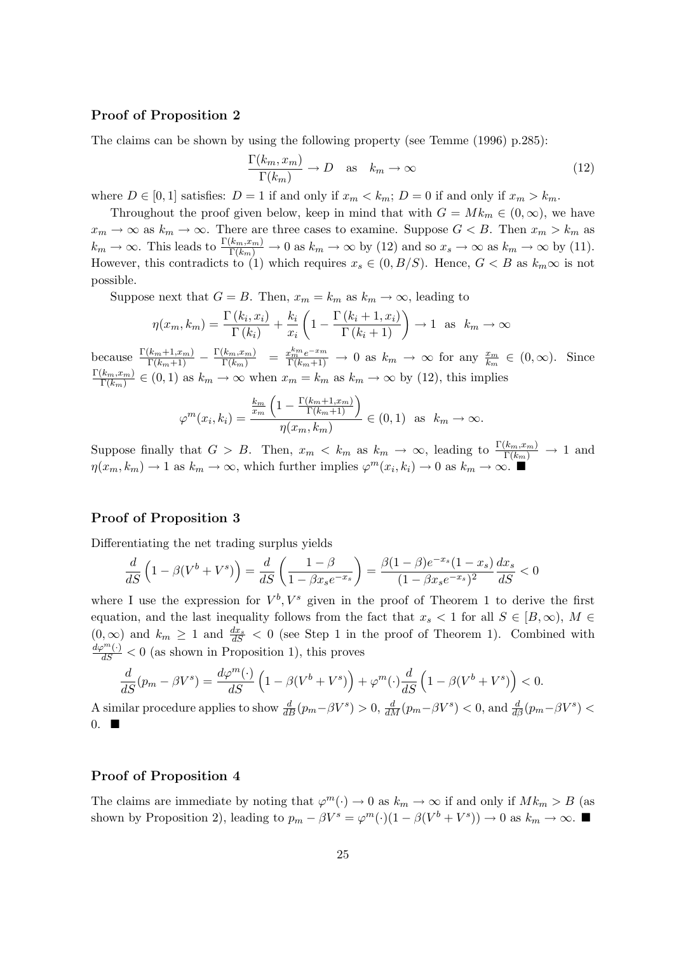### Proof of Proposition 2

The claims can be shown by using the following property (see Temme (1996) p.285):

$$
\frac{\Gamma(k_m, x_m)}{\Gamma(k_m)} \to D \quad \text{as} \quad k_m \to \infty \tag{12}
$$

where  $D \in [0, 1]$  satisfies:  $D = 1$  if and only if  $x_m < k_m$ ;  $D = 0$  if and only if  $x_m > k_m$ .

Throughout the proof given below, keep in mind that with  $G = Mk_m \in (0, \infty)$ , we have  $x_m \to \infty$  as  $k_m \to \infty$ . There are three cases to examine. Suppose  $G < B$ . Then  $x_m > k_m$  as  $k_m \to \infty$ . This leads to  $\frac{\Gamma(k_m, x_m)}{\Gamma(k_m)} \to 0$  as  $k_m \to \infty$  by (12) and so  $x_s \to \infty$  as  $k_m \to \infty$  by (11). However, this contradicts to (1) which requires  $x_s \in (0, B/S)$ . Hence,  $G < B$  as  $k_m \infty$  is not possible.

Suppose next that  $G = B$ . Then,  $x_m = k_m$  as  $k_m \to \infty$ , leading to

$$
\eta(x_m, k_m) = \frac{\Gamma(k_i, x_i)}{\Gamma(k_i)} + \frac{k_i}{x_i} \left( 1 - \frac{\Gamma(k_i + 1, x_i)}{\Gamma(k_i + 1)} \right) \to 1 \text{ as } k_m \to \infty
$$

because  $\frac{\Gamma(k_m+1,x_m)}{\Gamma(k_m+1)} - \frac{\Gamma(k_m,x_m)}{\Gamma(k_m)} = \frac{x_m^{km}e^{-x_m}}{\Gamma(k_m+1)} \to 0$  as  $k_m \to \infty$  for any  $\frac{x_m}{k_m} \in (0,\infty)$ . Since  $\Gamma(k_m,x_m)$  $\frac{(k_m, x_m)}{\Gamma(k_m)} \in (0, 1)$  as  $k_m \to \infty$  when  $x_m = k_m$  as  $k_m \to \infty$  by (12), this implies

$$
\varphi^m(x_i, k_i) = \frac{\frac{k_m}{x_m} \left(1 - \frac{\Gamma(k_m + 1, x_m)}{\Gamma(k_m + 1)}\right)}{\eta(x_m, k_m)} \in (0, 1) \text{ as } k_m \to \infty.
$$

Suppose finally that  $G > B$ . Then,  $x_m < k_m$  as  $k_m \to \infty$ , leading to  $\frac{\Gamma(k_m, x_m)}{\Gamma(k_m)} \to 1$  and  $\eta(x_m, k_m) \to 1$  as  $k_m \to \infty$ , which further implies  $\varphi^m(x_i, k_i) \to 0$  as  $k_m \to \infty$ .

### Proof of Proposition 3

Differentiating the net trading surplus yields

$$
\frac{d}{dS}\left(1 - \beta(V^b + V^s)\right) = \frac{d}{dS}\left(\frac{1 - \beta}{1 - \beta x_s e^{-x_s}}\right) = \frac{\beta(1 - \beta)e^{-x_s}(1 - x_s)}{(1 - \beta x_s e^{-x_s})^2}\frac{dx_s}{dS} < 0
$$

where I use the expression for  $V^b$ ,  $V^s$  given in the proof of Theorem 1 to derive the first equation, and the last inequality follows from the fact that  $x_s < 1$  for all  $S \in [B,\infty)$ ,  $M \in$  $(0, \infty)$  and  $k_m \geq 1$  and  $\frac{dx_s}{dS} < 0$  (see Step 1 in the proof of Theorem 1). Combined with  $\frac{d\varphi^m(\cdot)}{dS} < 0$  (as shown in Proposition 1), this proves

$$
\frac{d}{dS}(p_m - \beta V^s) = \frac{d\varphi^m(\cdot)}{dS} \left(1 - \beta(V^b + V^s)\right) + \varphi^m(\cdot)\frac{d}{dS}\left(1 - \beta(V^b + V^s)\right) < 0.
$$

A similar procedure applies to show  $\frac{d}{dB}(p_m-\beta V^s) > 0$ ,  $\frac{d}{dM}(p_m-\beta V^s) < 0$ , and  $\frac{d}{d\beta}(p_m-\beta V^s) <$  $0.$   $\blacksquare$ 

### Proof of Proposition 4

The claims are immediate by noting that  $\varphi^m(\cdot) \to 0$  as  $k_m \to \infty$  if and only if  $Mk_m > B$  (as shown by Proposition 2), leading to  $p_m - \beta V^s = \varphi^m(\cdot)(1 - \beta(V^b + V^s)) \to 0$  as  $k_m \to \infty$ .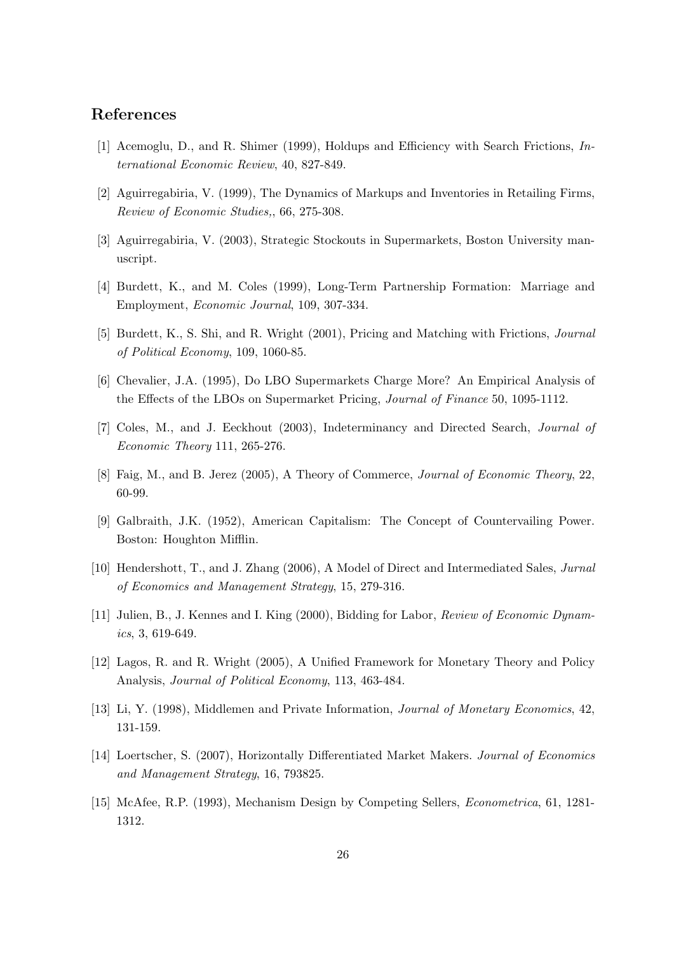## References

- [1] Acemoglu, D., and R. Shimer (1999), Holdups and Efficiency with Search Frictions, International Economic Review, 40, 827-849.
- [2] Aguirregabiria, V. (1999), The Dynamics of Markups and Inventories in Retailing Firms, Review of Economic Studies,, 66, 275-308.
- [3] Aguirregabiria, V. (2003), Strategic Stockouts in Supermarkets, Boston University manuscript.
- [4] Burdett, K., and M. Coles (1999), Long-Term Partnership Formation: Marriage and Employment, Economic Journal, 109, 307-334.
- [5] Burdett, K., S. Shi, and R. Wright (2001), Pricing and Matching with Frictions, Journal of Political Economy, 109, 1060-85.
- [6] Chevalier, J.A. (1995), Do LBO Supermarkets Charge More? An Empirical Analysis of the Effects of the LBOs on Supermarket Pricing, Journal of Finance 50, 1095-1112.
- [7] Coles, M., and J. Eeckhout (2003), Indeterminancy and Directed Search, Journal of Economic Theory 111, 265-276.
- [8] Faig, M., and B. Jerez (2005), A Theory of Commerce, Journal of Economic Theory, 22, 60-99.
- [9] Galbraith, J.K. (1952), American Capitalism: The Concept of Countervailing Power. Boston: Houghton Mifflin.
- [10] Hendershott, T., and J. Zhang (2006), A Model of Direct and Intermediated Sales, Jurnal of Economics and Management Strategy, 15, 279-316.
- [11] Julien, B., J. Kennes and I. King (2000), Bidding for Labor, Review of Economic Dynamics, 3, 619-649.
- [12] Lagos, R. and R. Wright (2005), A Unified Framework for Monetary Theory and Policy Analysis, Journal of Political Economy, 113, 463-484.
- [13] Li, Y. (1998), Middlemen and Private Information, Journal of Monetary Economics, 42, 131-159.
- [14] Loertscher, S. (2007), Horizontally Differentiated Market Makers. Journal of Economics and Management Strategy, 16, 793825.
- [15] McAfee, R.P. (1993), Mechanism Design by Competing Sellers, Econometrica, 61, 1281- 1312.